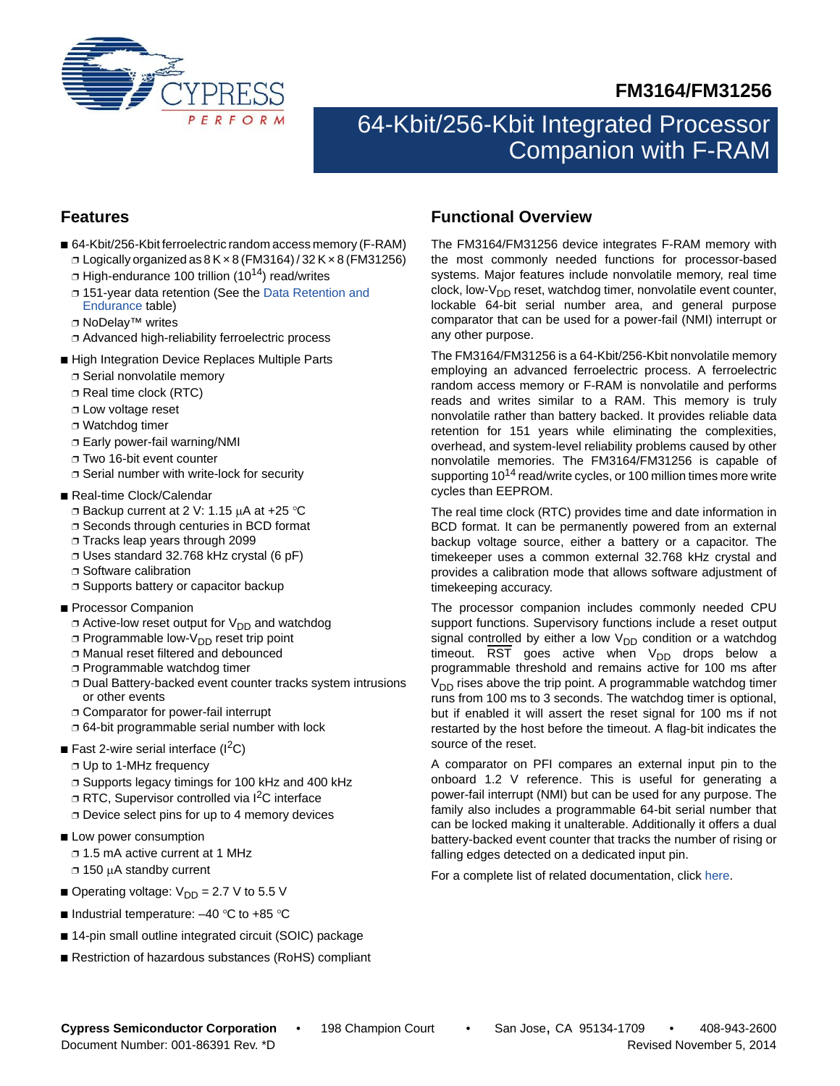



# 64-Kbit/256-Kbit Integrated Processor Companion with F-RAM

## **Features**

- 64-Kbit/256-Kbit ferroelectric random access memory (F-RAM)  $\Box$  Logically organized as  $8$  K  $\times$  8 (FM3164) / 32 K  $\times$  8 (FM31256)
	- $\Box$  High-endurance 100 trillion (10<sup>14</sup>) read/writes
	- ❐ 151-year data retention (See the [Data Retention and](#page-25-0)  [Endurance](#page-25-0) table)
	- ❐ NoDelay™ writes
	- ❐ Advanced high-reliability ferroelectric process
- High Integration Device Replaces Multiple Parts
	- ❐ Serial nonvolatile memory
	- ❐ Real time clock (RTC)
	- ❐ Low voltage reset
	- ❐ Watchdog timer
	- ❐ Early power-fail warning/NMI
	- ❐ Two 16-bit event counter
	- ❐ Serial number with write-lock for security
- Real-time Clock/Calendar
	- $\Box$  Backup current at 2 V: 1.15  $\mu$ A at +25 °C
	- ❐ Seconds through centuries in BCD format
	- ❐ Tracks leap years through 2099
	- ❐ Uses standard 32.768 kHz crystal (6 pF)
	- ❐ Software calibration
- ❐ Supports battery or capacitor backup
- Processor Companion
	- $\Box$  Active-low reset output for  $V_{DD}$  and watchdog
	- $\Box$  Programmable low-V<sub>DD</sub> reset trip point
	- ❐ Manual reset filtered and debounced
	- ❐ Programmable watchdog timer
	- ❐ Dual Battery-backed event counter tracks system intrusions or other events
	- ❐ Comparator for power-fail interrupt
	- ❐ 64-bit programmable serial number with lock
- **E** Fast 2-wire serial interface ( $1^2C$ )
	- ❐ Up to 1-MHz frequency
	- ❐ Supports legacy timings for 100 kHz and 400 kHz
	- □ RTC, Supervisor controlled via I<sup>2</sup>C interface
	- ❐ Device select pins for up to 4 memory devices
- Low power consumption ❐ 1.5 mA active current at 1 MHz
	- $\Box$  150 μA standby current
- Operating voltage:  $V_{DD}$  = 2.7 V to 5.5 V
- Industrial temperature:  $-40$  °C to +85 °C
- 14-pin small outline integrated circuit (SOIC) package
- Restriction of hazardous substances (RoHS) compliant

## **Functional Overview**

The FM3164/FM31256 device integrates F-RAM memory with the most commonly needed functions for processor-based systems. Major features include nonvolatile memory, real time clock, low- $V_{DD}$  reset, watchdog timer, nonvolatile event counter, lockable 64-bit serial number area, and general purpose comparator that can be used for a power-fail (NMI) interrupt or any other purpose.

The FM3164/FM31256 is a 64-Kbit/256-Kbit nonvolatile memory employing an advanced ferroelectric process. A ferroelectric random access memory or F-RAM is nonvolatile and performs reads and writes similar to a RAM. This memory is truly nonvolatile rather than battery backed. It provides reliable data retention for 151 years while eliminating the complexities, overhead, and system-level reliability problems caused by other nonvolatile memories. The FM3164/FM31256 is capable of supporting  $10^{14}$  read/write cycles, or 100 million times more write cycles than EEPROM.

The real time clock (RTC) provides time and date information in BCD format. It can be permanently powered from an external backup voltage source, either a battery or a capacitor. The timekeeper uses a common external 32.768 kHz crystal and provides a calibration mode that allows software adjustment of timekeeping accuracy.

The processor companion includes commonly needed CPU support functions. Supervisory functions include a reset output signal controlled by either a low  $V_{DD}$  condition or a watchdog timeout.  $\overline{\text{RST}}$  goes active when  $V_{\text{DD}}$  drops below a programmable threshold and remains active for 100 ms after  $V_{DD}$  rises above the trip point. A programmable watchdog timer runs from 100 ms to 3 seconds. The watchdog timer is optional, but if enabled it will assert the reset signal for 100 ms if not restarted by the host before the timeout. A flag-bit indicates the source of the reset.

A comparator on PFI compares an external input pin to the onboard 1.2 V reference. This is useful for generating a power-fail interrupt (NMI) but can be used for any purpose. The family also includes a programmable 64-bit serial number that can be locked making it unalterable. Additionally it offers a dual battery-backed event counter that tracks the number of rising or falling edges detected on a dedicated input pin.

For a complete list of related documentation, click [here](http://www.cypress.com/?rID=76642).

**Cypress Semiconductor Corporation** • 198 Champion Court • San Jose, CA 95134-1709 • 408-943-2600 Document Number: 001-86391 Rev. \*D Revised November 5, 2014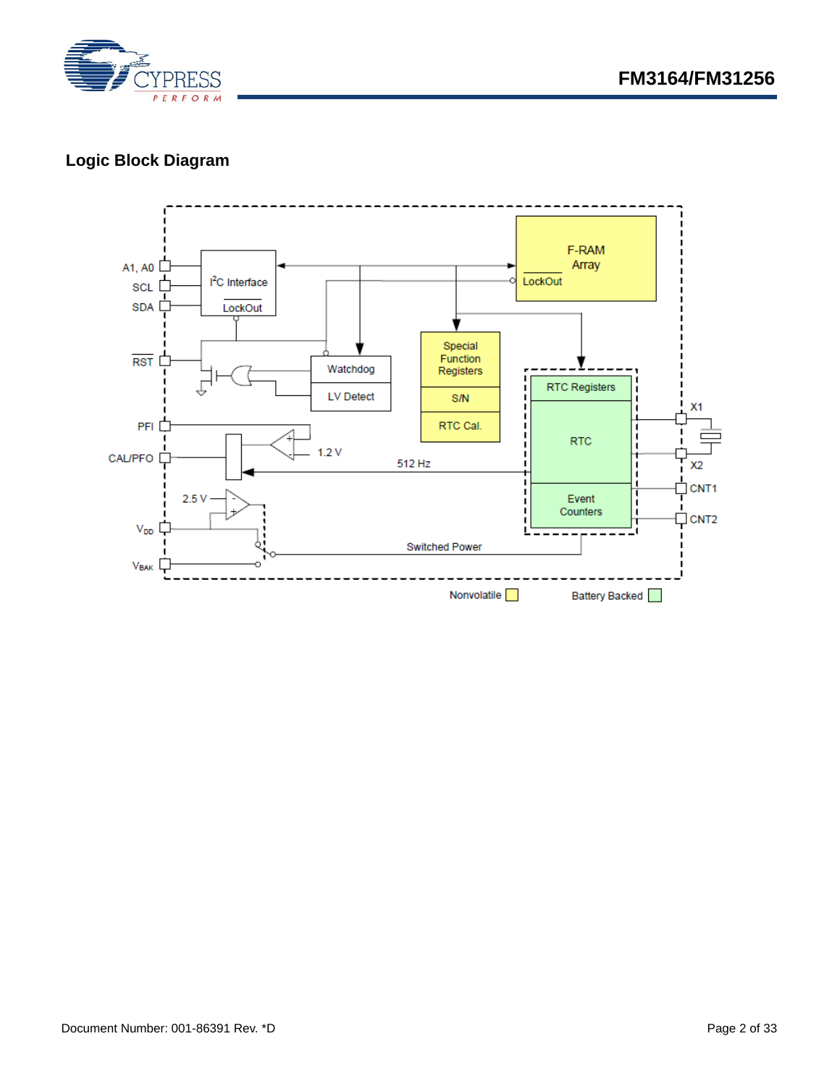

# **Logic Block Diagram**

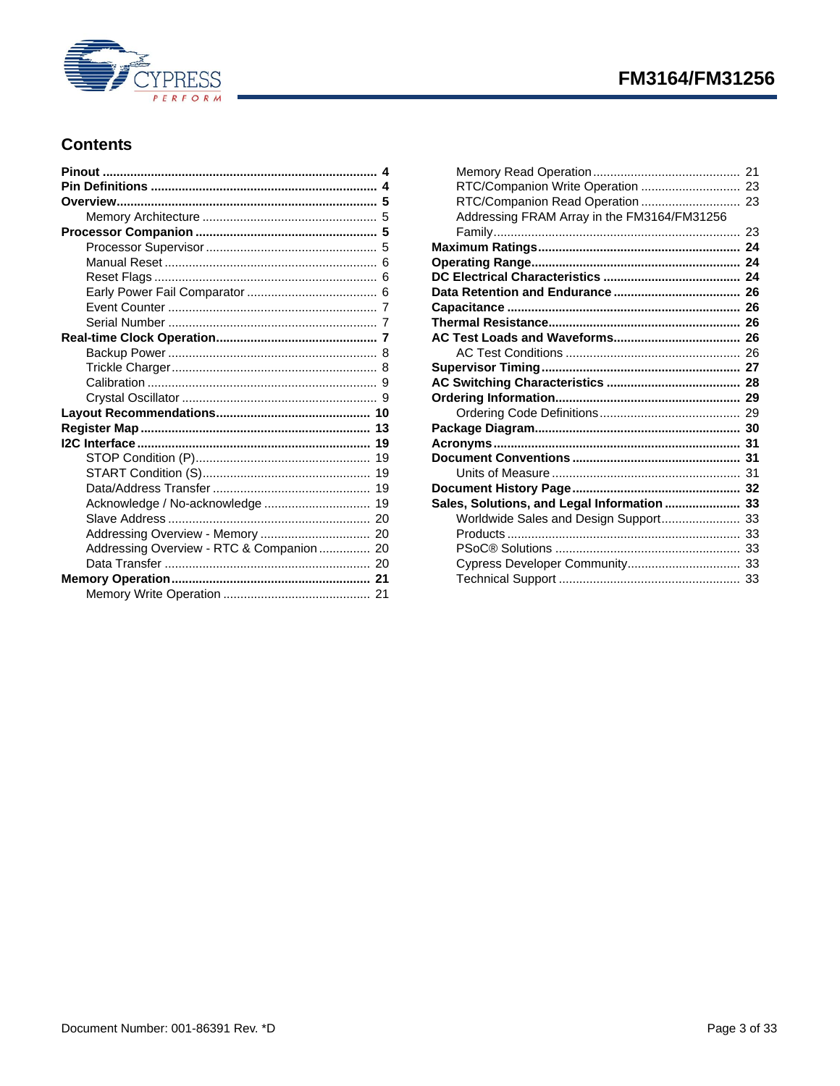

# FM3164/FM31256

## **Contents**

| Acknowledge / No-acknowledge  19          |  |
|-------------------------------------------|--|
|                                           |  |
|                                           |  |
| Addressing Overview - RTC & Companion  20 |  |
|                                           |  |
|                                           |  |
|                                           |  |
|                                           |  |

| RTC/Companion Write Operation  23           |  |
|---------------------------------------------|--|
| RTC/Companion Read Operation  23            |  |
| Addressing FRAM Array in the FM3164/FM31256 |  |
|                                             |  |
|                                             |  |
|                                             |  |
|                                             |  |
|                                             |  |
|                                             |  |
|                                             |  |
|                                             |  |
|                                             |  |
|                                             |  |
|                                             |  |
|                                             |  |
|                                             |  |
|                                             |  |
|                                             |  |
|                                             |  |
|                                             |  |
|                                             |  |
| Sales, Solutions, and Legal Information  33 |  |
| Worldwide Sales and Design Support 33       |  |
|                                             |  |
|                                             |  |
|                                             |  |
|                                             |  |
|                                             |  |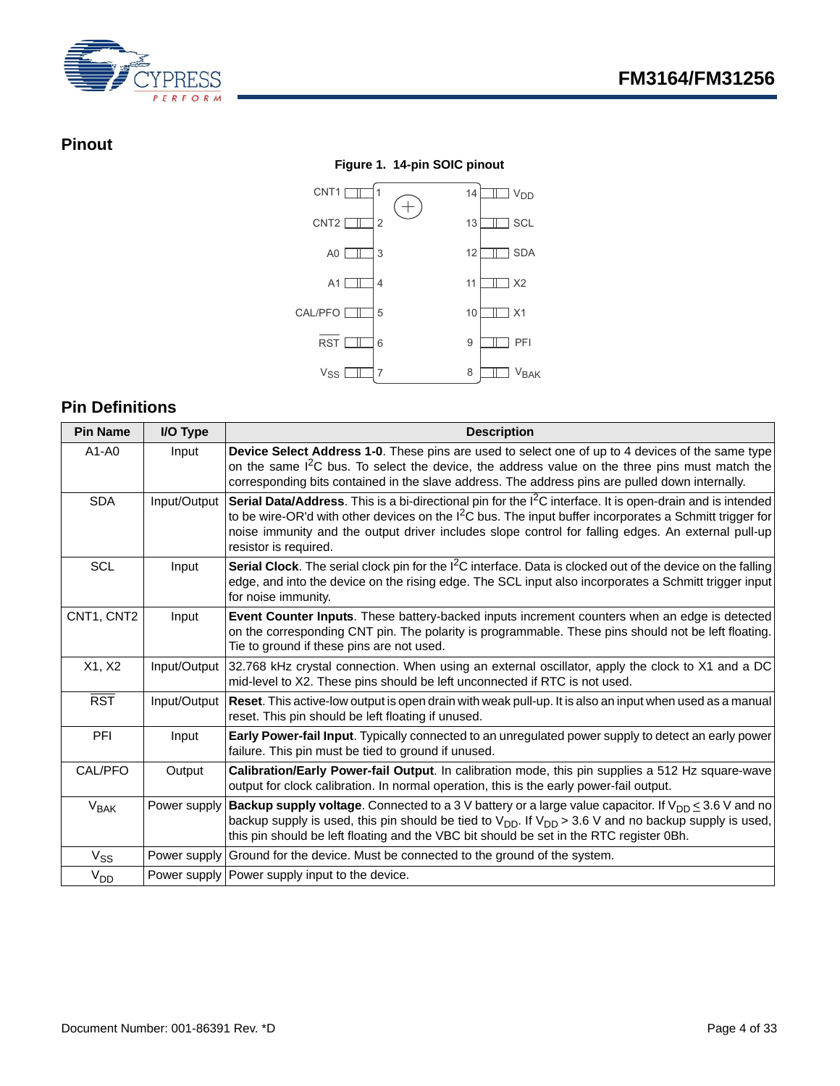

## <span id="page-3-0"></span>**Pinout**

#### **Figure 1. 14-pin SOIC pinout**  $CNT1$   $1$ CNT2  $\Box$  2 A0 3 A1 4 CAL/PFO 5  $\begin{array}{c|c|c|c|c|c} \text{RST} & \text{II} & \text{6} & \text{9} & \text{III} \end{array}$  PFI X1 10 X2 11 12 1 SDA 13 1 SCL  $\sim$  14  $\Box$   $V_{DD}$ 7 8  $9$   $\Box$  PFI  $V_{SS}$   $\boxed{1}$  7 8 VBAK

## <span id="page-3-1"></span>**Pin Definitions**

| <b>Pin Name</b> | I/O Type     | <b>Description</b>                                                                                                                                                                                                                                                                                                                                                |
|-----------------|--------------|-------------------------------------------------------------------------------------------------------------------------------------------------------------------------------------------------------------------------------------------------------------------------------------------------------------------------------------------------------------------|
| $A1 - A0$       | Input        | Device Select Address 1-0. These pins are used to select one of up to 4 devices of the same type<br>on the same I <sup>2</sup> C bus. To select the device, the address value on the three pins must match the<br>corresponding bits contained in the slave address. The address pins are pulled down internally.                                                 |
| <b>SDA</b>      | Input/Output | Serial Data/Address. This is a bi-directional pin for the I <sup>2</sup> C interface. It is open-drain and is intended<br>to be wire-OR'd with other devices on the $12C$ bus. The input buffer incorporates a Schmitt trigger for<br>noise immunity and the output driver includes slope control for falling edges. An external pull-up<br>resistor is required. |
| <b>SCL</b>      | Input        | <b>Serial Clock</b> . The serial clock pin for the $1^2C$ interface. Data is clocked out of the device on the falling<br>edge, and into the device on the rising edge. The SCL input also incorporates a Schmitt trigger input<br>for noise immunity.                                                                                                             |
| CNT1, CNT2      | Input        | Event Counter Inputs. These battery-backed inputs increment counters when an edge is detected<br>on the corresponding CNT pin. The polarity is programmable. These pins should not be left floating.<br>Tie to ground if these pins are not used.                                                                                                                 |
| X1, X2          | Input/Output | 32.768 kHz crystal connection. When using an external oscillator, apply the clock to X1 and a DC<br>mid-level to X2. These pins should be left unconnected if RTC is not used.                                                                                                                                                                                    |
| <b>RST</b>      | Input/Output | Reset. This active-low output is open drain with weak pull-up. It is also an input when used as a manual<br>reset. This pin should be left floating if unused.                                                                                                                                                                                                    |
| <b>PFI</b>      | Input        | <b>Early Power-fail Input</b> . Typically connected to an unregulated power supply to detect an early power<br>failure. This pin must be tied to ground if unused.                                                                                                                                                                                                |
| CAL/PFO         | Output       | Calibration/Early Power-fail Output. In calibration mode, this pin supplies a 512 Hz square-wave<br>output for clock calibration. In normal operation, this is the early power-fail output.                                                                                                                                                                       |
| $V_{BAK}$       | Power supply | <b>Backup supply voltage</b> . Connected to a 3 V battery or a large value capacitor. If $V_{DD} \le 3.6$ V and no<br>backup supply is used, this pin should be tied to $V_{DD}$ . If $V_{DD} > 3.6$ V and no backup supply is used,<br>this pin should be left floating and the VBC bit should be set in the RTC register 0Bh.                                   |
| $V_{SS}$        |              | Power supply Ground for the device. Must be connected to the ground of the system.                                                                                                                                                                                                                                                                                |
| V <sub>DD</sub> |              | Power supply Power supply input to the device.                                                                                                                                                                                                                                                                                                                    |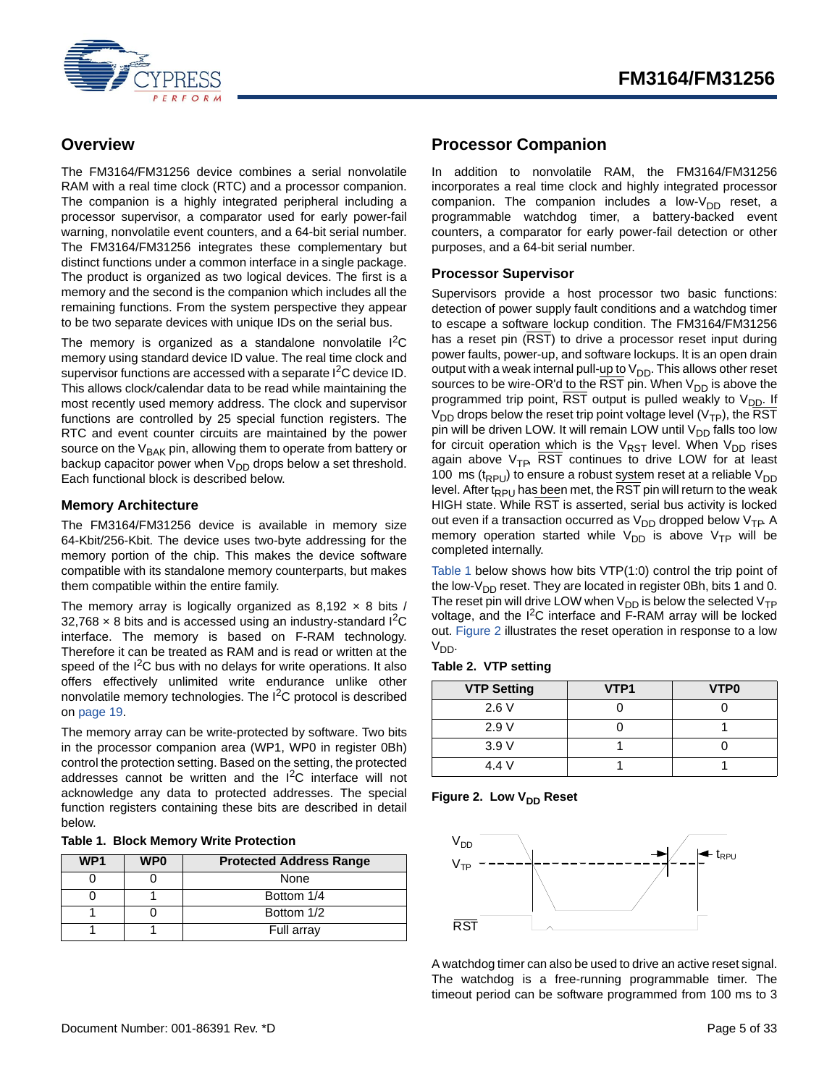

## <span id="page-4-0"></span>**Overview**

The FM3164/FM31256 device combines a serial nonvolatile RAM with a real time clock (RTC) and a processor companion. The companion is a highly integrated peripheral including a processor supervisor, a comparator used for early power-fail warning, nonvolatile event counters, and a 64-bit serial number. The FM3164/FM31256 integrates these complementary but distinct functions under a common interface in a single package. The product is organized as two logical devices. The first is a memory and the second is the companion which includes all the remaining functions. From the system perspective they appear to be two separate devices with unique IDs on the serial bus.

The memory is organized as a standalone nonvolatile I<sup>2</sup>C memory using standard device ID value. The real time clock and supervisor functions are accessed with a separate I<sup>2</sup>C device ID. This allows clock/calendar data to be read while maintaining the most recently used memory address. The clock and supervisor functions are controlled by 25 special function registers. The RTC and event counter circuits are maintained by the power source on the V<sub>BAK</sub> pin, allowing them to operate from battery or backup capacitor power when V<sub>DD</sub> drops below a set threshold. Each functional block is described below.

### <span id="page-4-1"></span>**Memory Architecture**

The FM3164/FM31256 device is available in memory size 64-Kbit/256-Kbit. The device uses two-byte addressing for the memory portion of the chip. This makes the device software compatible with its standalone memory counterparts, but makes them compatible within the entire family.

The memory array is logically organized as  $8,192 \times 8$  bits /  $32,768 \times 8$  bits and is accessed using an industry-standard I<sup>2</sup>C interface. The memory is based on F-RAM technology. Therefore it can be treated as RAM and is read or written at the speed of the  $I^2C$  bus with no delays for write operations. It also offers effectively unlimited write endurance unlike other nonvolatile memory technologies. The I<sup>2</sup>C protocol is described on [page 19.](#page-18-0)

The memory array can be write-protected by software. Two bits in the processor companion area (WP1, WP0 in register 0Bh) control the protection setting. Based on the setting, the protected addresses cannot be written and the  $I^2C$  interface will not acknowledge any data to protected addresses. The special function registers containing these bits are described in detail below.

#### **Table 1. Block Memory Write Protection**

| WP <sub>1</sub> | WP <sub>0</sub> | <b>Protected Address Range</b> |
|-----------------|-----------------|--------------------------------|
|                 |                 | None                           |
|                 |                 | Bottom 1/4                     |
|                 |                 | Bottom 1/2                     |
|                 |                 | Full array                     |

## <span id="page-4-2"></span>**Processor Companion**

In addition to nonvolatile RAM, the FM3164/FM31256 incorporates a real time clock and highly integrated processor companion. The companion includes a low- $V_{DD}$  reset, a programmable watchdog timer, a battery-backed event counters, a comparator for early power-fail detection or other purposes, and a 64-bit serial number.

#### <span id="page-4-3"></span>**Processor Supervisor**

Supervisors provide a host processor two basic functions: detection of power supply fault conditions and a watchdog timer to escape a software lockup condition. The FM3164/FM31256 has a reset pin (RST) to drive a processor reset input during power faults, power-up, and software lockups. It is an open drain output with a weak internal pull-up to  $V_{DD}$ . This allows other reset sources to be wire-OR'd to the RST pin. When  $V_{DD}$  is above the programmed trip point, RST output is pulled weakly to  $V_{DD}$ . If  $V_{DD}$  drops below the reset trip point voltage level (V<sub>TP</sub>), the RST pin will be driven LOW. It will remain LOW until  $V_{DD}$  falls too low for circuit operation which is the  $V_{RST}$  level. When  $V_{DD}$  rises again above  $V_{\text{TP}}$ , RST continues to drive LOW for at least 100 ms ( $t_{RPU}$ ) to ensure a robust system reset at a reliable  $V_{DD}$ level. After t<sub>RPU</sub> has been met, the RST pin will return to the weak HIGH state. While RST is asserted, serial bus activity is locked out even if a transaction occurred as  $V_{DD}$  dropped below  $V_{TP}$ . A memory operation started while  $V_{DD}$  is above  $V_{TP}$  will be completed internally.

Table 1 below shows how bits VTP(1:0) control the trip point of the low- $V_{DD}$  reset. They are located in register 0Bh, bits 1 and 0. The reset pin will drive LOW when  $V_{DD}$  is below the selected  $V_{TP}$ voltage, and the I<sup>2</sup>C interface and F-RAM array will be locked out. [Figure 2](#page-4-4) illustrates the reset operation in response to a low  $V_{DD}$ .

#### **Table 2. VTP setting**

| <b>VTP Setting</b> | VTP <sub>1</sub> | VTP <sub>0</sub> |
|--------------------|------------------|------------------|
| 2.6V               |                  |                  |
| 2.9V               |                  |                  |
| 3.9V               |                  |                  |
| 4.4 V              |                  |                  |

<span id="page-4-4"></span>



A watchdog timer can also be used to drive an active reset signal. The watchdog is a free-running programmable timer. The timeout period can be software programmed from 100 ms to 3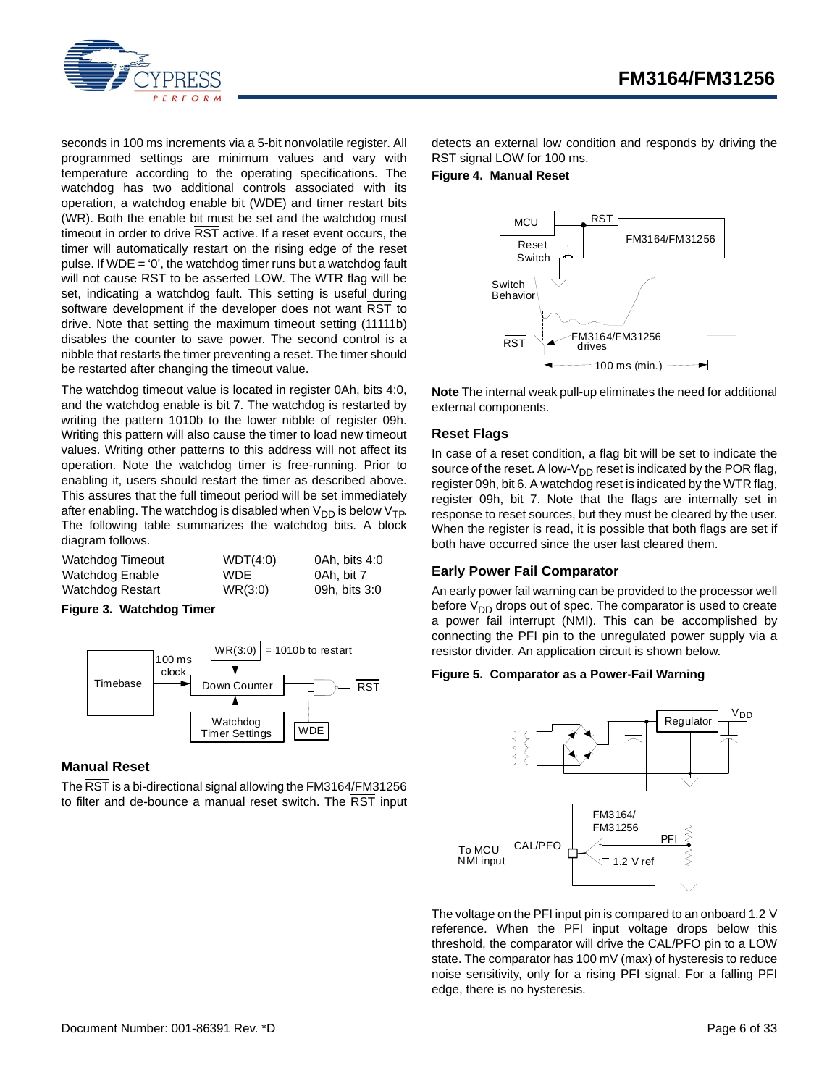

seconds in 100 ms increments via a 5-bit nonvolatile register. All programmed settings are minimum values and vary with temperature according to the operating specifications. The watchdog has two additional controls associated with its operation, a watchdog enable bit (WDE) and timer restart bits (WR). Both the enable bit must be set and the watchdog must timeout in order to drive RST active. If a reset event occurs, the timer will automatically restart on the rising edge of the reset pulse. If WDE = '0', the watchdog timer runs but a watchdog fault will not cause RST to be asserted LOW. The WTR flag will be set, indicating a watchdog fault. This setting is useful during software development if the developer does not want RST to drive. Note that setting the maximum timeout setting (11111b) disables the counter to save power. The second control is a nibble that restarts the timer preventing a reset. The timer should be restarted after changing the timeout value.

The watchdog timeout value is located in register 0Ah, bits 4:0, and the watchdog enable is bit 7. The watchdog is restarted by writing the pattern 1010b to the lower nibble of register 09h. Writing this pattern will also cause the timer to load new timeout values. Writing other patterns to this address will not affect its operation. Note the watchdog timer is free-running. Prior to enabling it, users should restart the timer as described above. This assures that the full timeout period will be set immediately after enabling. The watchdog is disabled when  $V_{DD}$  is below  $V_{TP}$ . The following table summarizes the watchdog bits. A block diagram follows.

| Watchdog Timeout | WDT(4:0) | 0Ah. bits 4:0 |
|------------------|----------|---------------|
| Watchdog Enable  | WDE.     | 0Ah. bit 7    |
| Watchdog Restart | WR(3:0)  | 09h, bits 3:0 |

**Figure 3. Watchdog Timer**



#### <span id="page-5-0"></span>**Manual Reset**

The RST is a bi-directional signal allowing the FM3164/FM31256 to filter and de-bounce a manual reset switch. The RST input detects an external low condition and responds by driving the RST signal LOW for 100 ms.

**Figure 4. Manual Reset**



**Note** The internal weak pull-up eliminates the need for additional external components.

#### <span id="page-5-1"></span>**Reset Flags**

In case of a reset condition, a flag bit will be set to indicate the source of the reset. A low- $V_{DD}$  reset is indicated by the POR flag, register 09h, bit 6. A watchdog reset is indicated by the WTR flag, register 09h, bit 7. Note that the flags are internally set in response to reset sources, but they must be cleared by the user. When the register is read, it is possible that both flags are set if both have occurred since the user last cleared them.

#### <span id="page-5-2"></span>**Early Power Fail Comparator**

An early power fail warning can be provided to the processor well before  $V_{DD}$  drops out of spec. The comparator is used to create a power fail interrupt (NMI). This can be accomplished by connecting the PFI pin to the unregulated power supply via a resistor divider. An application circuit is shown below.

#### **Figure 5. Comparator as a Power-Fail Warning**



The voltage on the PFI input pin is compared to an onboard 1.2 V reference. When the PFI input voltage drops below this threshold, the comparator will drive the CAL/PFO pin to a LOW state. The comparator has 100 mV (max) of hysteresis to reduce noise sensitivity, only for a rising PFI signal. For a falling PFI edge, there is no hysteresis.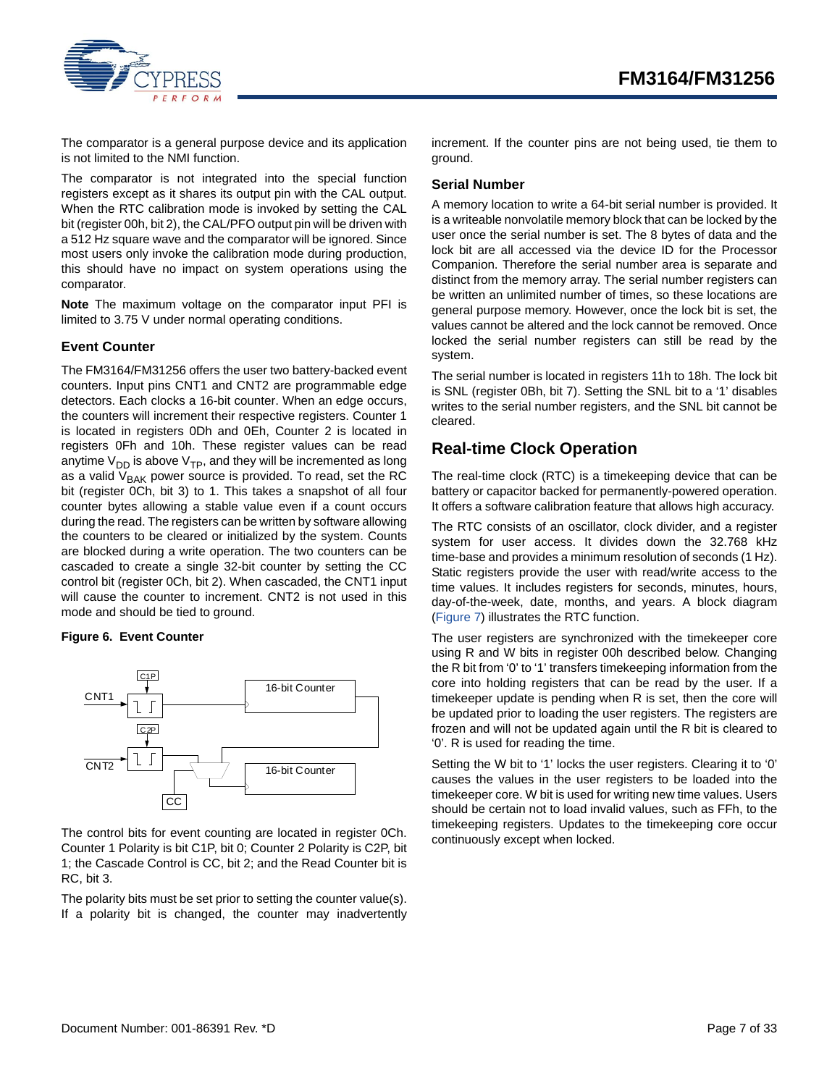

The comparator is a general purpose device and its application is not limited to the NMI function.

The comparator is not integrated into the special function registers except as it shares its output pin with the CAL output. When the RTC calibration mode is invoked by setting the CAL bit (register 00h, bit 2), the CAL/PFO output pin will be driven with a 512 Hz square wave and the comparator will be ignored. Since most users only invoke the calibration mode during production, this should have no impact on system operations using the comparator.

**Note** The maximum voltage on the comparator input PFI is limited to 3.75 V under normal operating conditions.

#### <span id="page-6-0"></span>**Event Counter**

The FM3164/FM31256 offers the user two battery-backed event counters. Input pins CNT1 and CNT2 are programmable edge detectors. Each clocks a 16-bit counter. When an edge occurs, the counters will increment their respective registers. Counter 1 is located in registers 0Dh and 0Eh, Counter 2 is located in registers 0Fh and 10h. These register values can be read anytime  $V_{DD}$  is above  $V_{TP}$ , and they will be incremented as long as a valid  $V<sub>BAK</sub>$  power source is provided. To read, set the RC bit (register 0Ch, bit 3) to 1. This takes a snapshot of all four counter bytes allowing a stable value even if a count occurs during the read. The registers can be written by software allowing the counters to be cleared or initialized by the system. Counts are blocked during a write operation. The two counters can be cascaded to create a single 32-bit counter by setting the CC control bit (register 0Ch, bit 2). When cascaded, the CNT1 input will cause the counter to increment. CNT2 is not used in this mode and should be tied to ground.

#### **Figure 6. Event Counter**



The control bits for event counting are located in register 0Ch. Counter 1 Polarity is bit C1P, bit 0; Counter 2 Polarity is C2P, bit 1; the Cascade Control is CC, bit 2; and the Read Counter bit is RC, bit 3.

The polarity bits must be set prior to setting the counter value(s). If a polarity bit is changed, the counter may inadvertently increment. If the counter pins are not being used, tie them to ground.

#### <span id="page-6-1"></span>**Serial Number**

A memory location to write a 64-bit serial number is provided. It is a writeable nonvolatile memory block that can be locked by the user once the serial number is set. The 8 bytes of data and the lock bit are all accessed via the device ID for the Processor Companion. Therefore the serial number area is separate and distinct from the memory array. The serial number registers can be written an unlimited number of times, so these locations are general purpose memory. However, once the lock bit is set, the values cannot be altered and the lock cannot be removed. Once locked the serial number registers can still be read by the system.

The serial number is located in registers 11h to 18h. The lock bit is SNL (register 0Bh, bit 7). Setting the SNL bit to a '1' disables writes to the serial number registers, and the SNL bit cannot be cleared.

## <span id="page-6-2"></span>**Real-time Clock Operation**

The real-time clock (RTC) is a timekeeping device that can be battery or capacitor backed for permanently-powered operation. It offers a software calibration feature that allows high accuracy.

The RTC consists of an oscillator, clock divider, and a register system for user access. It divides down the 32.768 kHz time-base and provides a minimum resolution of seconds (1 Hz). Static registers provide the user with read/write access to the time values. It includes registers for seconds, minutes, hours, day-of-the-week, date, months, and years. A block diagram ([Figure 7\)](#page-7-2) illustrates the RTC function.

The user registers are synchronized with the timekeeper core using R and W bits in register 00h described below. Changing the R bit from '0' to '1' transfers timekeeping information from the core into holding registers that can be read by the user. If a timekeeper update is pending when R is set, then the core will be updated prior to loading the user registers. The registers are frozen and will not be updated again until the R bit is cleared to '0'. R is used for reading the time.

Setting the W bit to '1' locks the user registers. Clearing it to '0' causes the values in the user registers to be loaded into the timekeeper core. W bit is used for writing new time values. Users should be certain not to load invalid values, such as FFh, to the timekeeping registers. Updates to the timekeeping core occur continuously except when locked.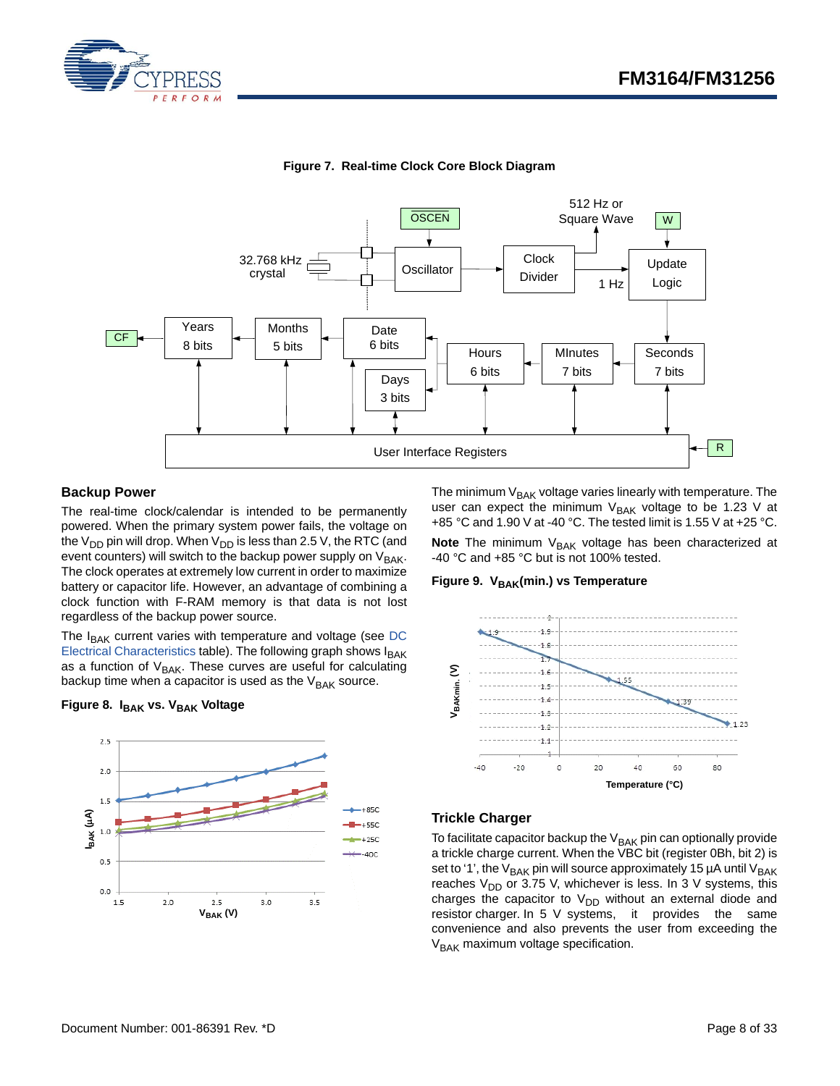

<span id="page-7-2"></span>

**Figure 7. Real-time Clock Core Block Diagram**

#### <span id="page-7-0"></span>**Backup Power**

The real-time clock/calendar is intended to be permanently powered. When the primary system power fails, the voltage on the  $V_{DD}$  pin will drop. When  $V_{DD}$  is less than 2.5 V, the RTC (and event counters) will switch to the backup power supply on V<sub>BAK</sub>. The clock operates at extremely low current in order to maximize battery or capacitor life. However, an advantage of combining a clock function with F-RAM memory is that data is not lost regardless of the backup power source.

The  $I_{\text{BAK}}$  current varies with temperature and voltage (see [DC](#page-23-2) [Electrical Characteristics](#page-23-2) table). The following graph shows IBAK as a function of  $V_{BAK}$ . These curves are useful for calculating backup time when a capacitor is used as the  $V_{\text{BAK}}$  source.

#### **Figure 8. I<sub>BAK</sub> vs. V<sub>BAK</sub> Voltage**



The minimum  $V_{BAK}$  voltage varies linearly with temperature. The user can expect the minimum  $V_{BAK}$  voltage to be 1.23 V at +85 °C and 1.90 V at -40 °C. The tested limit is 1.55 V at +25 °C.

**Note** The minimum V<sub>BAK</sub> voltage has been characterized at -40 °C and +85 °C but is not 100% tested.

#### Figure 9. V<sub>BAK</sub>(min.) vs Temperature



#### <span id="page-7-1"></span>**Trickle Charger**

To facilitate capacitor backup the  $V_{BAK}$  pin can optionally provide a trickle charge current. When the VBC bit (register 0Bh, bit 2) is set to '1', the  $V_{BAK}$  pin will source approximately 15 µA until  $V_{BAK}$ reaches  $V_{DD}$  or 3.75 V, whichever is less. In 3 V systems, this charges the capacitor to  $V_{DD}$  without an external diode and resistor charger. In 5 V systems, it provides the same convenience and also prevents the user from exceeding the  $V<sub>BAK</sub>$  maximum voltage specification.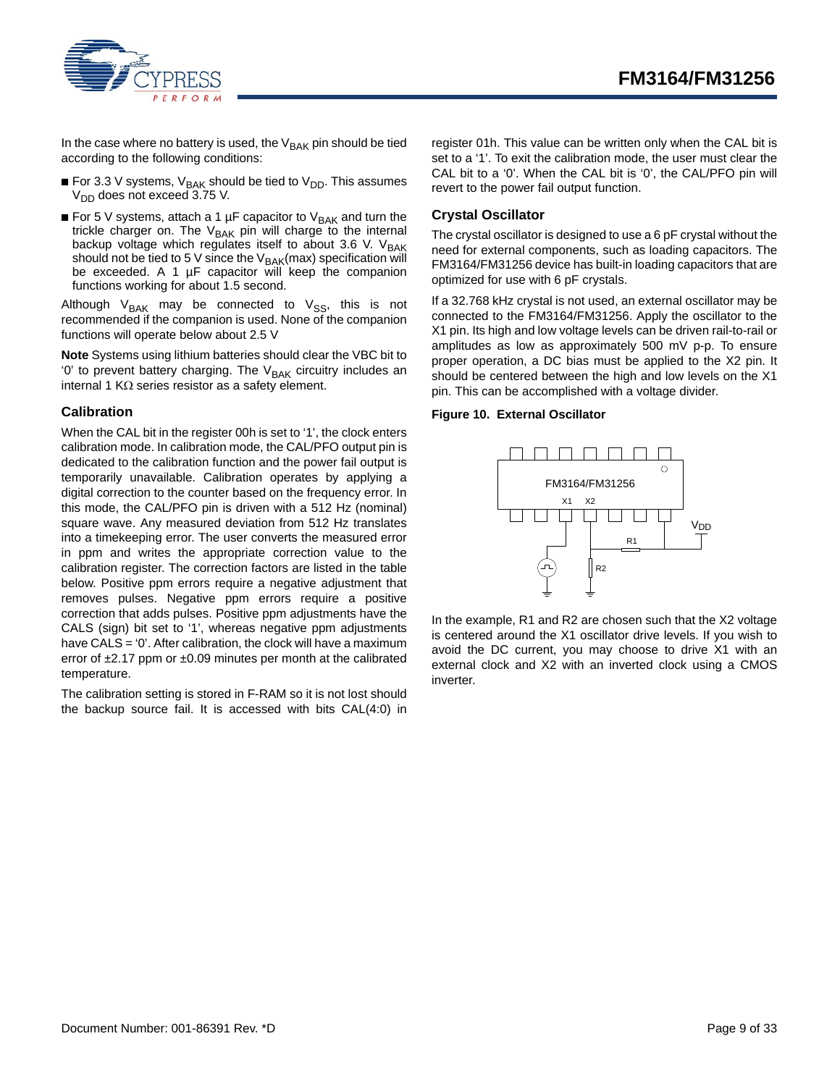



In the case where no battery is used, the  $V_{\text{BAK}}$  pin should be tied according to the following conditions:

- For 3.3 V systems,  $V_{BAK}$  should be tied to  $V_{DD}$ . This assumes  $V_{DD}$  does not exceed 3.75 V.
- For 5 V systems, attach a 1 µF capacitor to V<sub>BAK</sub> and turn the trickle charger on. The V<sub>BAK</sub> pin will charge to the internal backup voltage which regulates itself to about 3.6 V.  $V_{BAK}$ should not be tied to 5 V since the  $V_{BAK}(max)$  specification will be exceeded. A 1 µF capacitor will keep the companion functions working for about 1.5 second.

Although V<sub>BAK</sub> may be connected to V<sub>SS</sub>, this is not recommended if the companion is used. None of the companion functions will operate below about 2.5 V

**Note** Systems using lithium batteries should clear the VBC bit to  $0'$  to prevent battery charging. The  $V_{BAK}$  circuitry includes an internal 1 K $\Omega$  series resistor as a safety element.

#### <span id="page-8-0"></span>**Calibration**

When the CAL bit in the register 00h is set to '1', the clock enters calibration mode. In calibration mode, the CAL/PFO output pin is dedicated to the calibration function and the power fail output is temporarily unavailable. Calibration operates by applying a digital correction to the counter based on the frequency error. In this mode, the CAL/PFO pin is driven with a 512 Hz (nominal) square wave. Any measured deviation from 512 Hz translates into a timekeeping error. The user converts the measured error in ppm and writes the appropriate correction value to the calibration register. The correction factors are listed in the table below. Positive ppm errors require a negative adjustment that removes pulses. Negative ppm errors require a positive correction that adds pulses. Positive ppm adjustments have the CALS (sign) bit set to '1', whereas negative ppm adjustments have CALS = '0'. After calibration, the clock will have a maximum error of  $\pm 2.17$  ppm or  $\pm 0.09$  minutes per month at the calibrated temperature.

The calibration setting is stored in F-RAM so it is not lost should the backup source fail. It is accessed with bits CAL(4:0) in register 01h. This value can be written only when the CAL bit is set to a '1'. To exit the calibration mode, the user must clear the CAL bit to a '0'. When the CAL bit is '0', the CAL/PFO pin will revert to the power fail output function.

#### <span id="page-8-1"></span>**Crystal Oscillator**

The crystal oscillator is designed to use a 6 pF crystal without the need for external components, such as loading capacitors. The FM3164/FM31256 device has built-in loading capacitors that are optimized for use with 6 pF crystals.

If a 32.768 kHz crystal is not used, an external oscillator may be connected to the FM3164/FM31256. Apply the oscillator to the X1 pin. Its high and low voltage levels can be driven rail-to-rail or amplitudes as low as approximately 500 mV p-p. To ensure proper operation, a DC bias must be applied to the X2 pin. It should be centered between the high and low levels on the X1 pin. This can be accomplished with a voltage divider.

#### **Figure 10. External Oscillator**



In the example, R1 and R2 are chosen such that the X2 voltage is centered around the X1 oscillator drive levels. If you wish to avoid the DC current, you may choose to drive X1 with an external clock and X2 with an inverted clock using a CMOS inverter.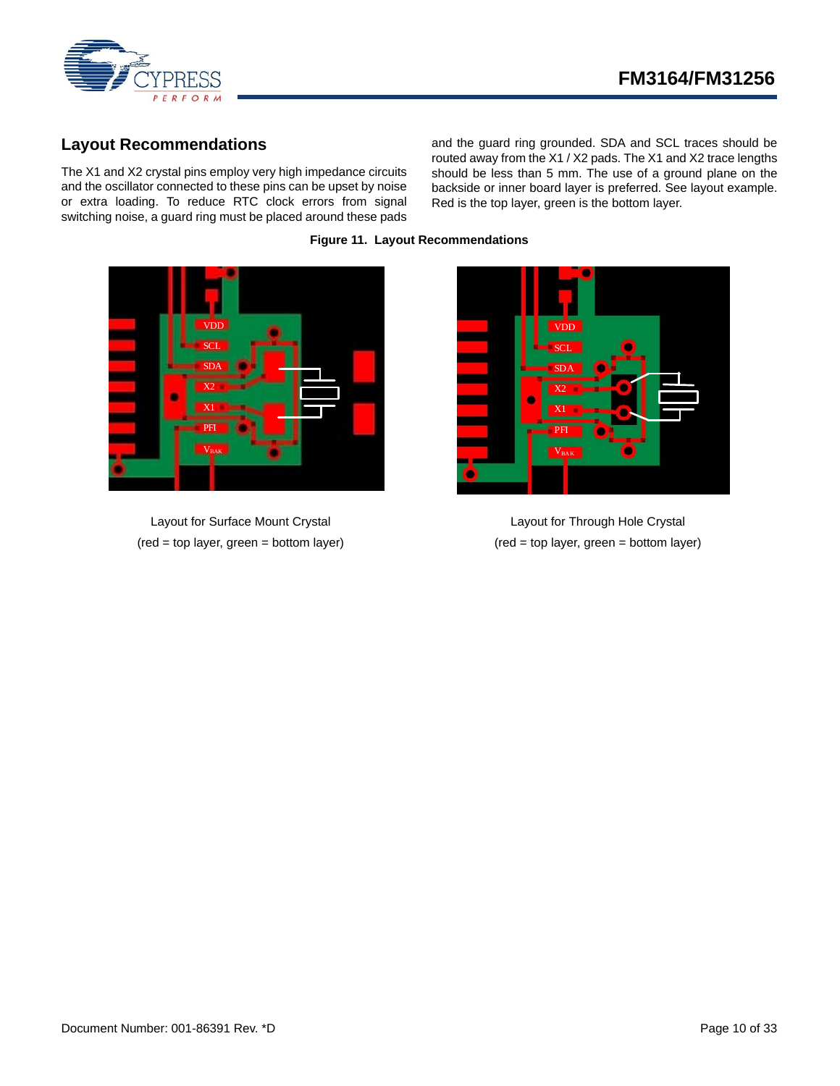

## <span id="page-9-0"></span>**Layout Recommendations**

The X1 and X2 crystal pins employ very high impedance circuits and the oscillator connected to these pins can be upset by noise or extra loading. To reduce RTC clock errors from signal switching noise, a guard ring must be placed around these pads and the guard ring grounded. SDA and SCL traces should be routed away from the X1 / X2 pads. The X1 and X2 trace lengths should be less than 5 mm. The use of a ground plane on the backside or inner board layer is preferred. See layout example. Red is the top layer, green is the bottom layer.



Layout for Surface Mount Crystal (red = top layer, green = bottom layer)

**Figure 11. Layout Recommendations**



Layout for Through Hole Crystal (red = top layer, green = bottom layer)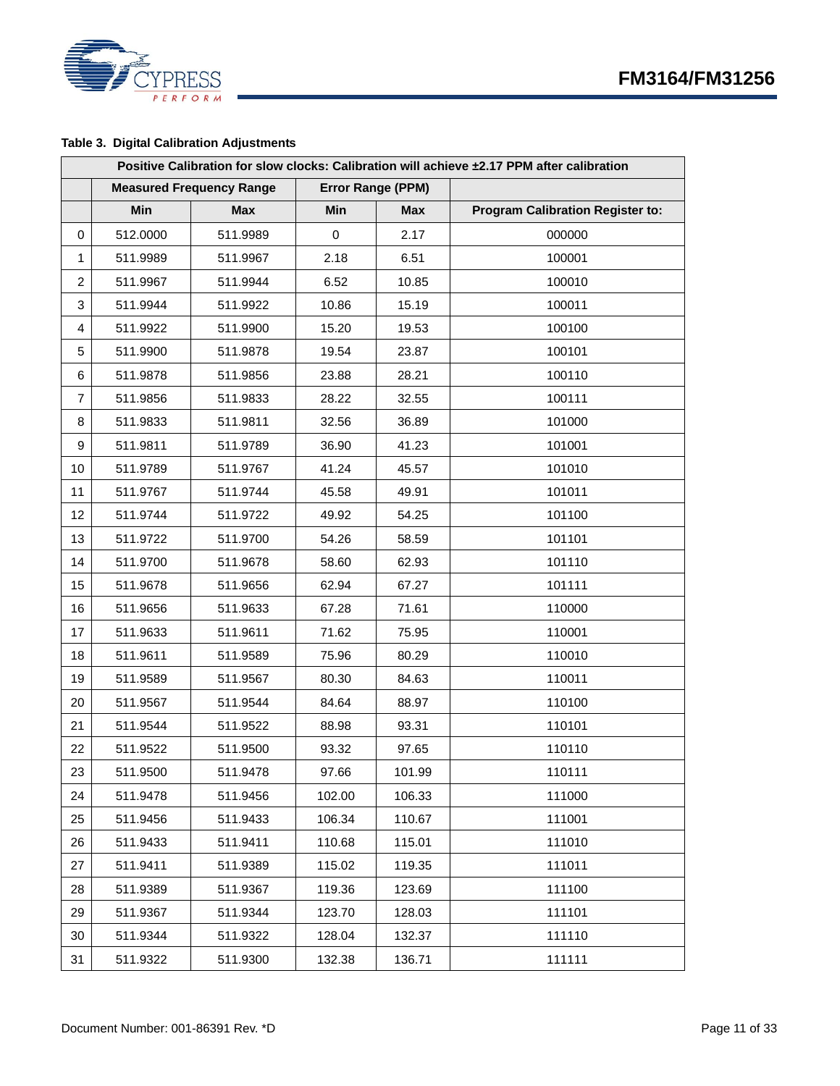

## **Table 3. Digital Calibration Adjustments**

|                | Positive Calibration for slow clocks: Calibration will achieve ±2.17 PPM after calibration |                                 |        |                   |                                         |  |  |  |  |
|----------------|--------------------------------------------------------------------------------------------|---------------------------------|--------|-------------------|-----------------------------------------|--|--|--|--|
|                |                                                                                            | <b>Measured Frequency Range</b> |        | Error Range (PPM) |                                         |  |  |  |  |
|                | Min                                                                                        | <b>Max</b>                      | Min    | <b>Max</b>        | <b>Program Calibration Register to:</b> |  |  |  |  |
| 0              | 512.0000                                                                                   | 511.9989                        | 0      | 2.17              | 000000                                  |  |  |  |  |
| 1              | 511.9989                                                                                   | 511.9967                        | 2.18   | 6.51              | 100001                                  |  |  |  |  |
| $\overline{c}$ | 511.9967                                                                                   | 511.9944                        | 6.52   | 10.85             | 100010                                  |  |  |  |  |
| 3              | 511.9944                                                                                   | 511.9922                        | 10.86  | 15.19             | 100011                                  |  |  |  |  |
| 4              | 511.9922                                                                                   | 511.9900                        | 15.20  | 19.53             | 100100                                  |  |  |  |  |
| 5              | 511.9900                                                                                   | 511.9878                        | 19.54  | 23.87             | 100101                                  |  |  |  |  |
| 6              | 511.9878                                                                                   | 511.9856                        | 23.88  | 28.21             | 100110                                  |  |  |  |  |
| 7              | 511.9856                                                                                   | 511.9833                        | 28.22  | 32.55             | 100111                                  |  |  |  |  |
| 8              | 511.9833                                                                                   | 511.9811                        | 32.56  | 36.89             | 101000                                  |  |  |  |  |
| 9              | 511.9811                                                                                   | 511.9789                        | 36.90  | 41.23             | 101001                                  |  |  |  |  |
| 10             | 511.9789                                                                                   | 511.9767                        | 41.24  | 45.57             | 101010                                  |  |  |  |  |
| 11             | 511.9767                                                                                   | 511.9744                        | 45.58  | 49.91             | 101011                                  |  |  |  |  |
| 12             | 511.9744                                                                                   | 511.9722                        | 49.92  | 54.25             | 101100                                  |  |  |  |  |
| 13             | 511.9722                                                                                   | 511.9700                        | 54.26  | 58.59             | 101101                                  |  |  |  |  |
| 14             | 511.9700                                                                                   | 511.9678                        | 58.60  | 62.93             | 101110                                  |  |  |  |  |
| 15             | 511.9678                                                                                   | 511.9656                        | 62.94  | 67.27             | 101111                                  |  |  |  |  |
| 16             | 511.9656                                                                                   | 511.9633                        | 67.28  | 71.61             | 110000                                  |  |  |  |  |
| 17             | 511.9633                                                                                   | 511.9611                        | 71.62  | 75.95             | 110001                                  |  |  |  |  |
| 18             | 511.9611                                                                                   | 511.9589                        | 75.96  | 80.29             | 110010                                  |  |  |  |  |
| 19             | 511.9589                                                                                   | 511.9567                        | 80.30  | 84.63             | 110011                                  |  |  |  |  |
| 20             | 511.9567                                                                                   | 511.9544                        | 84.64  | 88.97             | 110100                                  |  |  |  |  |
| 21             | 511.9544                                                                                   | 511.9522                        | 88.98  | 93.31             | 110101                                  |  |  |  |  |
| 22             | 511.9522                                                                                   | 511.9500                        | 93.32  | 97.65             | 110110                                  |  |  |  |  |
| 23             | 511.9500                                                                                   | 511.9478                        | 97.66  | 101.99            | 110111                                  |  |  |  |  |
| 24             | 511.9478                                                                                   | 511.9456                        | 102.00 | 106.33            | 111000                                  |  |  |  |  |
| 25             | 511.9456                                                                                   | 511.9433                        | 106.34 | 110.67            | 111001                                  |  |  |  |  |
| 26             | 511.9433                                                                                   | 511.9411                        | 110.68 | 115.01            | 111010                                  |  |  |  |  |
| 27             | 511.9411                                                                                   | 511.9389                        | 115.02 | 119.35            | 111011                                  |  |  |  |  |
| 28             | 511.9389                                                                                   | 511.9367                        | 119.36 | 123.69            | 111100                                  |  |  |  |  |
| 29             | 511.9367                                                                                   | 511.9344                        | 123.70 | 128.03            | 111101                                  |  |  |  |  |
| 30             | 511.9344                                                                                   | 511.9322                        | 128.04 | 132.37            | 111110                                  |  |  |  |  |
| 31             | 511.9322                                                                                   | 511.9300                        | 132.38 | 136.71            | 111111                                  |  |  |  |  |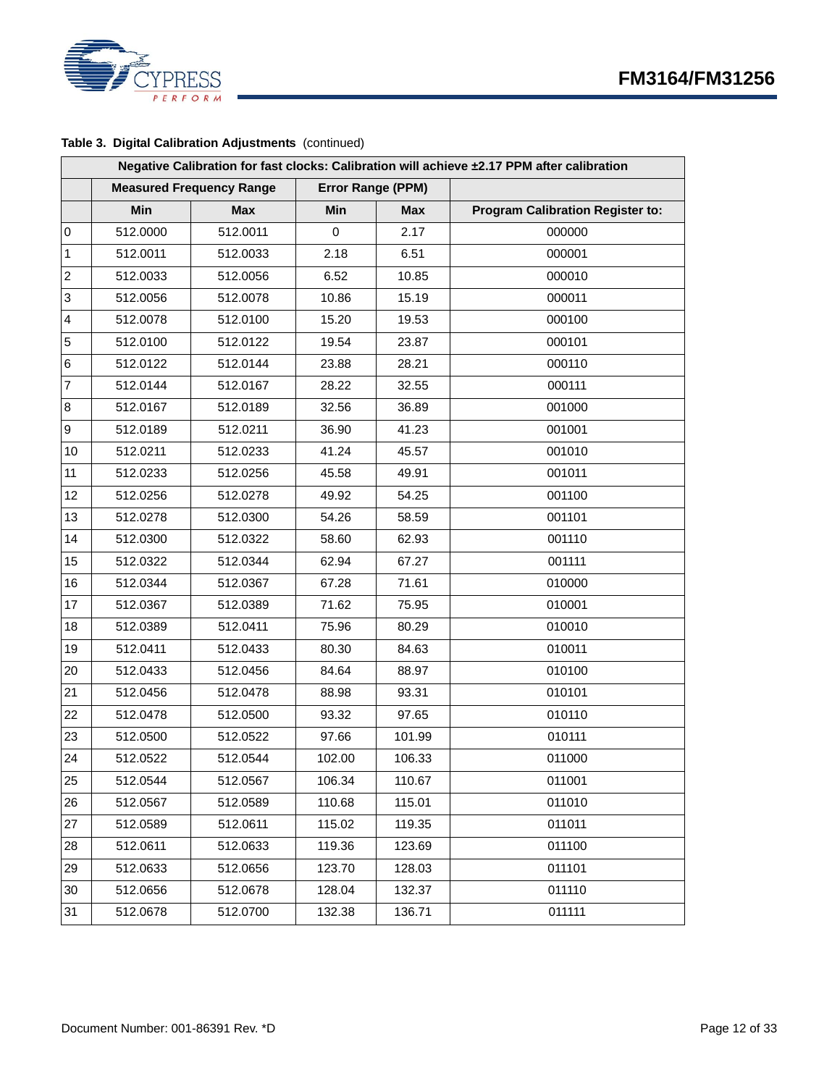

#### **Table 3. Digital Calibration Adjustments** (continued)

|                  | Negative Calibration for fast clocks: Calibration will achieve ±2.17 PPM after calibration |                                 |        |                   |                                         |  |  |  |  |  |
|------------------|--------------------------------------------------------------------------------------------|---------------------------------|--------|-------------------|-----------------------------------------|--|--|--|--|--|
|                  |                                                                                            | <b>Measured Frequency Range</b> |        | Error Range (PPM) |                                         |  |  |  |  |  |
|                  | Min                                                                                        | <b>Max</b>                      | Min    | <b>Max</b>        | <b>Program Calibration Register to:</b> |  |  |  |  |  |
| $\pmb{0}$        | 512.0000                                                                                   | 512.0011                        | 0      | 2.17              | 000000                                  |  |  |  |  |  |
| $\mathbf{1}$     | 512.0011                                                                                   | 512.0033                        | 2.18   | 6.51              | 000001                                  |  |  |  |  |  |
| $\boldsymbol{2}$ | 512.0033                                                                                   | 512.0056                        | 6.52   | 10.85             | 000010                                  |  |  |  |  |  |
| 3                | 512.0056                                                                                   | 512.0078                        | 10.86  | 15.19             | 000011                                  |  |  |  |  |  |
| 4                | 512.0078                                                                                   | 512.0100                        | 15.20  | 19.53             | 000100                                  |  |  |  |  |  |
| $\sqrt{5}$       | 512.0100                                                                                   | 512.0122                        | 19.54  | 23.87             | 000101                                  |  |  |  |  |  |
| 6                | 512.0122                                                                                   | 512.0144                        | 23.88  | 28.21             | 000110                                  |  |  |  |  |  |
| $\overline{7}$   | 512.0144                                                                                   | 512.0167                        | 28.22  | 32.55             | 000111                                  |  |  |  |  |  |
| $\bf 8$          | 512.0167                                                                                   | 512.0189                        | 32.56  | 36.89             | 001000                                  |  |  |  |  |  |
| 9                | 512.0189                                                                                   | 512.0211                        | 36.90  | 41.23             | 001001                                  |  |  |  |  |  |
| 10               | 512.0211                                                                                   | 512.0233                        | 41.24  | 45.57             | 001010                                  |  |  |  |  |  |
| 11               | 512.0233                                                                                   | 512.0256                        | 45.58  | 49.91             | 001011                                  |  |  |  |  |  |
| 12               | 512.0256                                                                                   | 512.0278                        | 49.92  | 54.25             | 001100                                  |  |  |  |  |  |
| 13               | 512.0278                                                                                   | 512.0300                        | 54.26  | 58.59             | 001101                                  |  |  |  |  |  |
| 14               | 512.0300                                                                                   | 512.0322                        | 58.60  | 62.93             | 001110                                  |  |  |  |  |  |
| 15               | 512.0322                                                                                   | 512.0344                        | 62.94  | 67.27             | 001111                                  |  |  |  |  |  |
| 16               | 512.0344                                                                                   | 512.0367                        | 67.28  | 71.61             | 010000                                  |  |  |  |  |  |
| 17               | 512.0367                                                                                   | 512.0389                        | 71.62  | 75.95             | 010001                                  |  |  |  |  |  |
| 18               | 512.0389                                                                                   | 512.0411                        | 75.96  | 80.29             | 010010                                  |  |  |  |  |  |
| 19               | 512.0411                                                                                   | 512.0433                        | 80.30  | 84.63             | 010011                                  |  |  |  |  |  |
| 20               | 512.0433                                                                                   | 512.0456                        | 84.64  | 88.97             | 010100                                  |  |  |  |  |  |
| 21               | 512.0456                                                                                   | 512.0478                        | 88.98  | 93.31             | 010101                                  |  |  |  |  |  |
| 22               | 512.0478                                                                                   | 512.0500                        | 93.32  | 97.65             | 010110                                  |  |  |  |  |  |
| 23               | 512.0500                                                                                   | 512.0522                        | 97.66  | 101.99            | 010111                                  |  |  |  |  |  |
| 24               | 512.0522                                                                                   | 512.0544                        | 102.00 | 106.33            | 011000                                  |  |  |  |  |  |
| 25               | 512.0544                                                                                   | 512.0567                        | 106.34 | 110.67            | 011001                                  |  |  |  |  |  |
| 26               | 512.0567                                                                                   | 512.0589                        | 110.68 | 115.01            | 011010                                  |  |  |  |  |  |
| 27               | 512.0589                                                                                   | 512.0611                        | 115.02 | 119.35            | 011011                                  |  |  |  |  |  |
| 28               | 512.0611                                                                                   | 512.0633                        | 119.36 | 123.69            | 011100                                  |  |  |  |  |  |
| 29               | 512.0633                                                                                   | 512.0656                        | 123.70 | 128.03            | 011101                                  |  |  |  |  |  |
| 30               | 512.0656                                                                                   | 512.0678                        | 128.04 | 132.37            | 011110                                  |  |  |  |  |  |
| 31               | 512.0678                                                                                   | 512.0700                        | 132.38 | 136.71            | 011111                                  |  |  |  |  |  |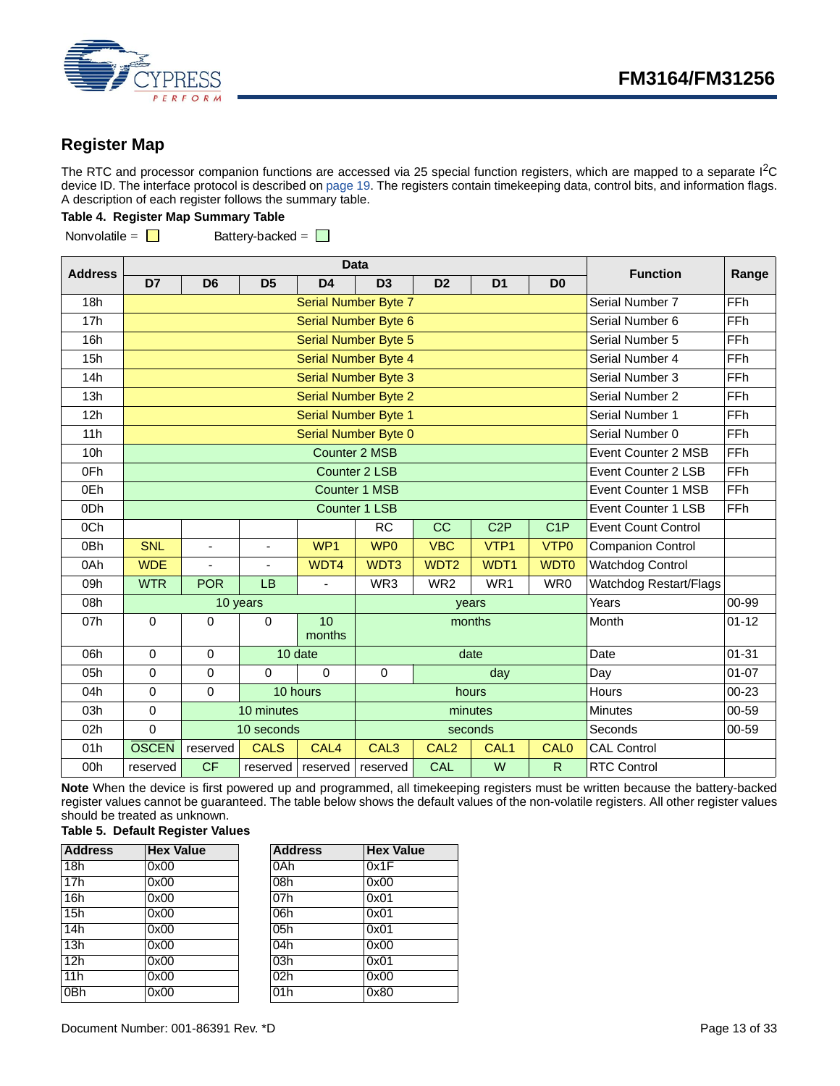

## <span id="page-12-0"></span>**Register Map**

The RTC and processor companion functions are accessed via 25 special function registers, which are mapped to a separate  $1<sup>2</sup>C$ device ID. The interface protocol is described on [page 19.](#page-18-0) The registers contain timekeeping data, control bits, and information flags. A description of each register follows the summary table.

#### **Table 4. Register Map Summary Table**

Nonvolatile =  $\Box$  Battery-backed =  $\Box$ 

**Address Data Function Range D7 D6 D5 D4 D3 D2 D1 D0** 18h Serial Number Byte 7 Serial Number Byte 7 Serial Number 7 FFh 17h Serial Number Byte 6 Serial Number Byte 6 Serial Number 6 Serial Number 6 FFh 16h **Serial Number Byte 5** Serial Number Byte 5 Serial Number 5 Serial Number 5 Serial Number 5 Serial Number 5 Serial Number 5 Serial Number 5 Serial Number 5 Serial Number 5 Serial Number 5 Serial Number 5 Serial Number 15h **Serial Number Byte 4** Serial Number Byte 4 Serial Number 4 **Serial Number 4** FFh 14h **Serial Number Byte 3** Serial Number Byte 3 Serial Number 3 FFh 13h **Serial Number Byte 2** Serial Number Byte 2 Serial Number 2 Serial Number 2 Serial Number 2 Serial Number 2 Serial Number 2 Serial Number 2 Serial Number 2 Serial Number 2 Serial Number 2 Serial Number 2 Serial Number 12h **Serial Number Byte 1** Serial Number 1 Serial Number 1 FFh 11h **Serial Number Byte 0** Serial Number Byte 0 Serial Number 0 Serial Number 0 FFh 10h **Counter 2 MSB Event Counter 2 MSB Event Counter 2 MSB FFh** 0Fh Counter 2 LSB Event Counter 2 LSB Event Counter 2 LSB FFh 0Eh **Counter 1 MSB Event Counter 1 MSB Event Counter 1 MSB EVENT COUNTER EVENT COUNTER A LITE OF EVENT COUNTER** 0Dh **Counter 1 LSB Event Counter 1 LSB** Event Counter 1 LSB FFh 0Ch | | | | RC CC C2P C1P Event Count Control 0Bh | SNL | - | - | WP1 | WP0 | VBC | VTP1 | VTP0 | Companion Control 0Ah WDE - | - WDT4 WDT3 WDT2 WDT2 WDT1 WDT0 Watchdog Control 09h WTR POR LB - WR3 WR2 WR1 WR0 Watchdog Restart/Flags 08h 10 years years Years 00-99 07h 0 0 0 0 10 months months Month 101-12 06h | 0 | 0 | 10 date | date date | Date | 01-31 05h | 0 | 0 | 0 | 0 | 0 | 0 | day | Day | 01-07 04h 0 0 10 hours hours Hours 00-23 03h | 0 | 10 minutes | minutes minutes | Minutes | 00-59 02h | 0 | 10 seconds | seconds | Seconds | Seconds | 00-59 01h **OSCEN** reserved **CALS** CAL4 CAL3 CAL2 CAL1 CAL0 CAL Control 00h reserved CF reserved reserved reserved CAL W R RTC Control

**Note** When the device is first powered up and programmed, all timekeeping registers must be written because the battery-backed register values cannot be guaranteed. The table below shows the default values of the non-volatile registers. All other register values should be treated as unknown.

#### **Table 5. Default Register Values**

| <b>Address</b> | <b>Hex Value</b> | <b>Address</b> | <b>Hex Value</b> |
|----------------|------------------|----------------|------------------|
| 18h            | 0x00             | 0Ah            | 0x1F             |
| 17h            | 0x00             | 08h            | 0x00             |
| 16h            | 0x00             | 07h            | 0x01             |
| 15h            | 0x00             | 06h            | 0x01             |
| 14h            | 0x00             | 05h            | 0x01             |
| 13h            | 0x00             | 04h            | 0x00             |
| 12h            | 0x00             | 03h            | 0x01             |
| 11h            | 0x00             | 02h            | 0x00             |
| 0Bh            | 0x00             | 01h            | 0x80             |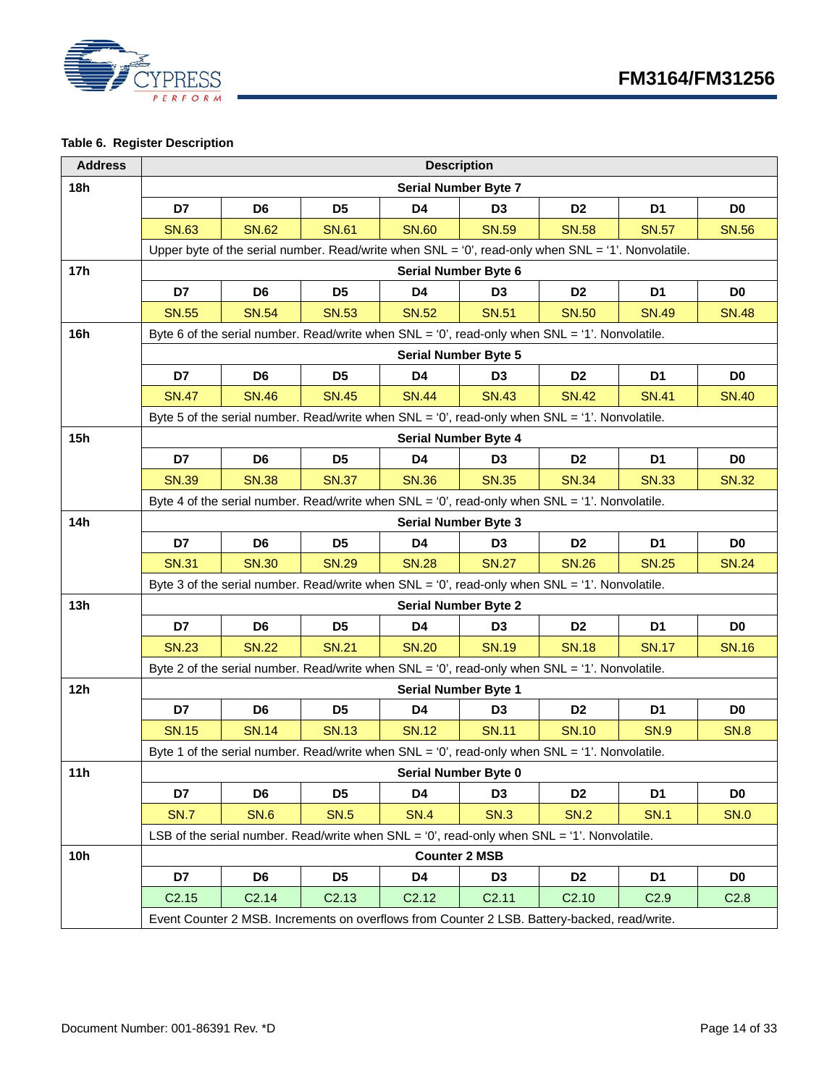

### **Table 6. Register Description**

| <b>Address</b> | <b>Description</b>   |                                                                                                          |                   |                             |                             |                   |                  |                  |  |
|----------------|----------------------|----------------------------------------------------------------------------------------------------------|-------------------|-----------------------------|-----------------------------|-------------------|------------------|------------------|--|
| 18h            |                      |                                                                                                          |                   | <b>Serial Number Byte 7</b> |                             |                   |                  |                  |  |
|                | D7                   | D <sub>6</sub>                                                                                           | D <sub>5</sub>    | D <sub>4</sub>              | D <sub>3</sub>              | D <sub>2</sub>    | D <sub>1</sub>   | D <sub>0</sub>   |  |
|                | <b>SN.63</b>         | <b>SN.62</b>                                                                                             | <b>SN.61</b>      | <b>SN.60</b>                | <b>SN.59</b>                | <b>SN.58</b>      | <b>SN.57</b>     | <b>SN.56</b>     |  |
|                |                      | Upper byte of the serial number. Read/write when $SNL = '0'$ , read-only when $SNL = '1'$ . Nonvolatile. |                   |                             |                             |                   |                  |                  |  |
| 17h            | Serial Number Byte 6 |                                                                                                          |                   |                             |                             |                   |                  |                  |  |
|                | D7                   | D <sub>6</sub>                                                                                           | D <sub>5</sub>    | D <sub>4</sub>              | D <sub>3</sub>              | D <sub>2</sub>    | D <sub>1</sub>   | D <sub>0</sub>   |  |
|                | <b>SN.55</b>         | <b>SN.54</b>                                                                                             | <b>SN.53</b>      | <b>SN.52</b>                | <b>SN.51</b>                | <b>SN.50</b>      | <b>SN.49</b>     | <b>SN.48</b>     |  |
| 16h            |                      | Byte 6 of the serial number. Read/write when $SNL = '0'$ , read-only when $SNL = '1'$ . Nonvolatile.     |                   |                             |                             |                   |                  |                  |  |
|                |                      |                                                                                                          |                   |                             | <b>Serial Number Byte 5</b> |                   |                  |                  |  |
|                | D7                   | D <sub>6</sub>                                                                                           | D <sub>5</sub>    | D <sub>4</sub>              | D <sub>3</sub>              | D <sub>2</sub>    | D <sub>1</sub>   | D <sub>0</sub>   |  |
|                | <b>SN.47</b>         | <b>SN.46</b>                                                                                             | <b>SN.45</b>      | <b>SN.44</b>                | <b>SN.43</b>                | <b>SN.42</b>      | <b>SN.41</b>     | <b>SN.40</b>     |  |
|                |                      | Byte 5 of the serial number. Read/write when $SNL = '0'$ , read-only when $SNL = '1'$ . Nonvolatile.     |                   |                             |                             |                   |                  |                  |  |
| 15h            |                      |                                                                                                          |                   |                             | <b>Serial Number Byte 4</b> |                   |                  |                  |  |
|                | D7                   | D <sub>6</sub>                                                                                           | D <sub>5</sub>    | D4                          | D <sub>3</sub>              | D <sub>2</sub>    | D1               | D <sub>0</sub>   |  |
|                | <b>SN.39</b>         | <b>SN.38</b>                                                                                             | <b>SN.37</b>      | <b>SN.36</b>                | <b>SN.35</b>                | <b>SN.34</b>      | <b>SN.33</b>     | <b>SN.32</b>     |  |
|                |                      | Byte 4 of the serial number. Read/write when $SNL = '0'$ , read-only when $SNL = '1'$ . Nonvolatile.     |                   |                             |                             |                   |                  |                  |  |
| 14h            |                      |                                                                                                          |                   |                             | <b>Serial Number Byte 3</b> |                   |                  |                  |  |
|                | D7                   | D <sub>6</sub>                                                                                           | D <sub>5</sub>    | D <sub>4</sub>              | D <sub>3</sub>              | D <sub>2</sub>    | D <sub>1</sub>   | D <sub>0</sub>   |  |
|                | <b>SN.31</b>         | <b>SN.30</b>                                                                                             | <b>SN.29</b>      | <b>SN.28</b>                | <b>SN.27</b>                | <b>SN.26</b>      | <b>SN.25</b>     | <b>SN.24</b>     |  |
|                |                      | Byte 3 of the serial number. Read/write when SNL = '0', read-only when SNL = '1'. Nonvolatile.           |                   |                             |                             |                   |                  |                  |  |
| 13h            |                      |                                                                                                          |                   |                             | <b>Serial Number Byte 2</b> |                   |                  |                  |  |
|                | D7                   | D <sub>6</sub>                                                                                           | D <sub>5</sub>    | D4                          | D <sub>3</sub>              | D <sub>2</sub>    | D <sub>1</sub>   | D <sub>0</sub>   |  |
|                | <b>SN.23</b>         | <b>SN.22</b>                                                                                             | <b>SN.21</b>      | <b>SN.20</b>                | <b>SN.19</b>                | <b>SN.18</b>      | <b>SN.17</b>     | <b>SN.16</b>     |  |
|                |                      | Byte 2 of the serial number. Read/write when $SNL = '0'$ , read-only when $SNL = '1'$ . Nonvolatile.     |                   |                             |                             |                   |                  |                  |  |
| 12h            |                      |                                                                                                          |                   | Serial Number Byte 1        |                             |                   |                  |                  |  |
|                | D7                   | D <sub>6</sub>                                                                                           | D <sub>5</sub>    | D <sub>4</sub>              | D <sub>3</sub>              | D <sub>2</sub>    | D <sub>1</sub>   | D <sub>0</sub>   |  |
|                | <b>SN.15</b>         | <b>SN.14</b>                                                                                             | <b>SN.13</b>      | <b>SN.12</b>                | <b>SN.11</b>                | <b>SN.10</b>      | <b>SN.9</b>      | <b>SN.8</b>      |  |
|                |                      | Byte 1 of the serial number. Read/write when $SNL = '0'$ , read-only when $SNL = '1'$ . Nonvolatile.     |                   |                             |                             |                   |                  |                  |  |
| 11h            |                      |                                                                                                          |                   |                             | Serial Number Byte 0        |                   |                  |                  |  |
|                | D7                   | D <sub>6</sub>                                                                                           | D <sub>5</sub>    | D4                          | D <sub>3</sub>              | D <sub>2</sub>    | D <sub>1</sub>   | D <sub>0</sub>   |  |
|                | <b>SN.7</b>          | <b>SN.6</b>                                                                                              | <b>SN.5</b>       | <b>SN.4</b>                 | <b>SN.3</b>                 | <b>SN.2</b>       | <b>SN.1</b>      | <b>SN.0</b>      |  |
|                |                      | LSB of the serial number. Read/write when SNL = '0', read-only when SNL = '1'. Nonvolatile.              |                   |                             |                             |                   |                  |                  |  |
| <b>10h</b>     |                      |                                                                                                          |                   |                             | <b>Counter 2 MSB</b>        |                   |                  |                  |  |
|                | D7                   | D <sub>6</sub>                                                                                           | D <sub>5</sub>    | D4                          | D <sub>3</sub>              | D <sub>2</sub>    | D <sub>1</sub>   | D <sub>0</sub>   |  |
|                | C <sub>2.15</sub>    | C <sub>2.14</sub>                                                                                        | C <sub>2.13</sub> | C <sub>2.12</sub>           | C <sub>2.11</sub>           | C <sub>2.10</sub> | C <sub>2.9</sub> | C <sub>2.8</sub> |  |
|                |                      | Event Counter 2 MSB. Increments on overflows from Counter 2 LSB. Battery-backed, read/write.             |                   |                             |                             |                   |                  |                  |  |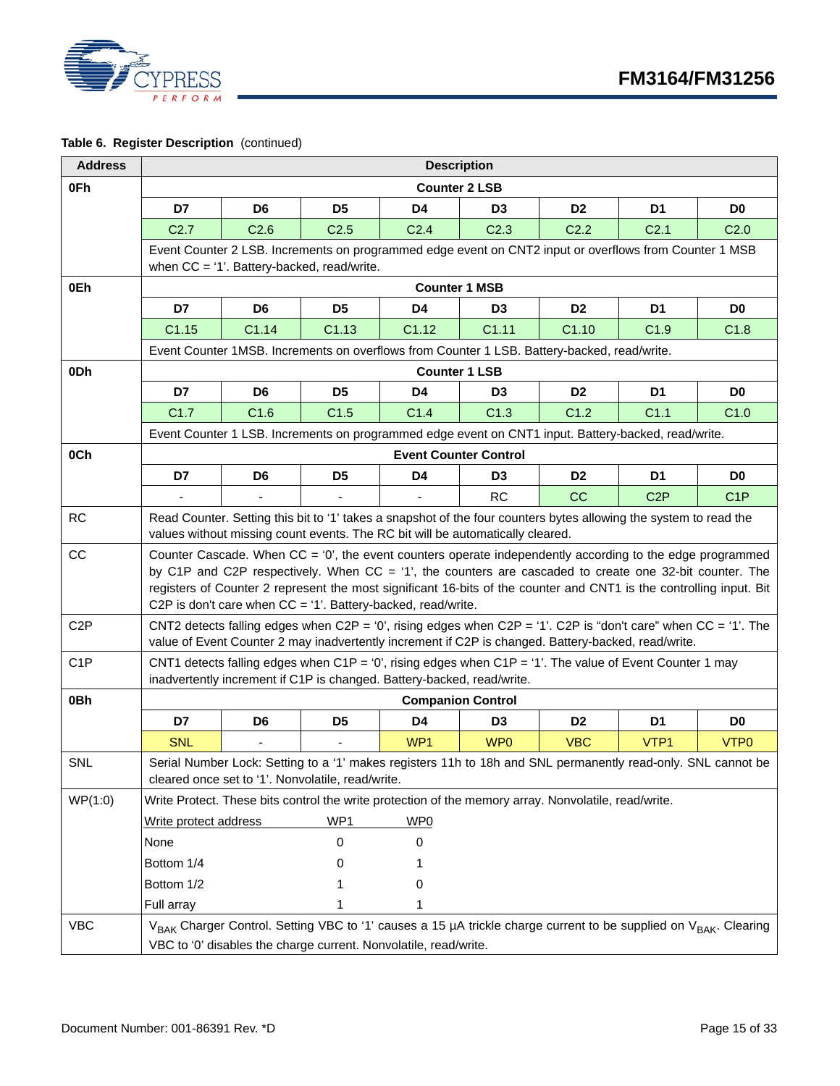

**Table 6. Register Description** (continued)

| <b>Address</b>   | <b>Description</b>                                               |                  |                                                                                |                  |                              |                                                                                                      |                                                                                                                                                                                                                      |                  |  |
|------------------|------------------------------------------------------------------|------------------|--------------------------------------------------------------------------------|------------------|------------------------------|------------------------------------------------------------------------------------------------------|----------------------------------------------------------------------------------------------------------------------------------------------------------------------------------------------------------------------|------------------|--|
| 0Fh              |                                                                  |                  |                                                                                |                  | <b>Counter 2 LSB</b>         |                                                                                                      |                                                                                                                                                                                                                      |                  |  |
|                  | D7                                                               | D <sub>6</sub>   | D <sub>5</sub>                                                                 | D <sub>4</sub>   | D <sub>3</sub>               | D <sub>2</sub>                                                                                       | D <sub>1</sub>                                                                                                                                                                                                       | D <sub>0</sub>   |  |
|                  | C <sub>2.7</sub>                                                 | C <sub>2.6</sub> | C <sub>2.5</sub>                                                               | C <sub>2.4</sub> | C <sub>2.3</sub>             | C <sub>2.2</sub>                                                                                     | C <sub>2.1</sub>                                                                                                                                                                                                     | C <sub>2.0</sub> |  |
|                  |                                                                  |                  |                                                                                |                  |                              |                                                                                                      | Event Counter 2 LSB. Increments on programmed edge event on CNT2 input or overflows from Counter 1 MSB                                                                                                               |                  |  |
|                  |                                                                  |                  | when CC = '1'. Battery-backed, read/write.                                     |                  |                              |                                                                                                      |                                                                                                                                                                                                                      |                  |  |
| 0Eh              | <b>Counter 1 MSB</b>                                             |                  |                                                                                |                  |                              |                                                                                                      |                                                                                                                                                                                                                      |                  |  |
|                  | D7                                                               | D <sub>6</sub>   | D <sub>5</sub>                                                                 | D4               | D <sub>3</sub>               | D <sub>2</sub>                                                                                       | D <sub>1</sub>                                                                                                                                                                                                       | D <sub>0</sub>   |  |
|                  | C1.15                                                            | C1.14            | C <sub>1.13</sub>                                                              | C1.12            | C1.11                        | C1.10                                                                                                | C1.9                                                                                                                                                                                                                 | C1.8             |  |
|                  |                                                                  |                  |                                                                                |                  |                              | Event Counter 1MSB. Increments on overflows from Counter 1 LSB. Battery-backed, read/write.          |                                                                                                                                                                                                                      |                  |  |
| 0 <sub>Dh</sub>  |                                                                  |                  |                                                                                |                  | <b>Counter 1 LSB</b>         |                                                                                                      |                                                                                                                                                                                                                      |                  |  |
|                  | D7                                                               | D <sub>6</sub>   | D <sub>5</sub>                                                                 | D4               | D <sub>3</sub>               | D <sub>2</sub>                                                                                       | D1                                                                                                                                                                                                                   | D <sub>0</sub>   |  |
|                  | C1.7                                                             | C1.6             | C1.5                                                                           | C1.4             | C1.3                         | C1.2                                                                                                 | C <sub>1.1</sub>                                                                                                                                                                                                     | C1.0             |  |
|                  |                                                                  |                  |                                                                                |                  |                              |                                                                                                      | Event Counter 1 LSB. Increments on programmed edge event on CNT1 input. Battery-backed, read/write.                                                                                                                  |                  |  |
| 0Ch              |                                                                  |                  |                                                                                |                  | <b>Event Counter Control</b> |                                                                                                      |                                                                                                                                                                                                                      |                  |  |
|                  | D7                                                               | D <sub>6</sub>   | D <sub>5</sub>                                                                 | D <sub>4</sub>   | D3                           | D <sub>2</sub>                                                                                       | D1                                                                                                                                                                                                                   | D <sub>0</sub>   |  |
|                  |                                                                  |                  |                                                                                |                  | <b>RC</b>                    | cc                                                                                                   | C <sub>2</sub> P                                                                                                                                                                                                     | C1P              |  |
| <b>RC</b>        |                                                                  |                  |                                                                                |                  |                              |                                                                                                      | Read Counter. Setting this bit to '1' takes a snapshot of the four counters bytes allowing the system to read the                                                                                                    |                  |  |
|                  |                                                                  |                  | values without missing count events. The RC bit will be automatically cleared. |                  |                              |                                                                                                      |                                                                                                                                                                                                                      |                  |  |
| CC               |                                                                  |                  |                                                                                |                  |                              |                                                                                                      | Counter Cascade. When CC = '0', the event counters operate independently according to the edge programmed<br>by C1P and C2P respectively. When CC = '1', the counters are cascaded to create one 32-bit counter. The |                  |  |
|                  |                                                                  |                  |                                                                                |                  |                              |                                                                                                      | registers of Counter 2 represent the most significant 16-bits of the counter and CNT1 is the controlling input. Bit                                                                                                  |                  |  |
|                  |                                                                  |                  | C2P is don't care when $CC = '1'$ . Battery-backed, read/write.                |                  |                              |                                                                                                      |                                                                                                                                                                                                                      |                  |  |
| C <sub>2</sub> P |                                                                  |                  |                                                                                |                  |                              |                                                                                                      | CNT2 detects falling edges when C2P = '0', rising edges when C2P = '1'. C2P is "don't care" when CC = '1'. The                                                                                                       |                  |  |
|                  |                                                                  |                  |                                                                                |                  |                              | value of Event Counter 2 may inadvertently increment if C2P is changed. Battery-backed, read/write.  |                                                                                                                                                                                                                      |                  |  |
| C <sub>1</sub> P |                                                                  |                  |                                                                                |                  |                              |                                                                                                      | CNT1 detects falling edges when C1P = '0', rising edges when C1P = '1'. The value of Event Counter 1 may                                                                                                             |                  |  |
|                  |                                                                  |                  | inadvertently increment if C1P is changed. Battery-backed, read/write.         |                  |                              |                                                                                                      |                                                                                                                                                                                                                      |                  |  |
| 0Bh              |                                                                  |                  |                                                                                |                  | <b>Companion Control</b>     |                                                                                                      |                                                                                                                                                                                                                      |                  |  |
|                  | D7                                                               | D <sub>6</sub>   | D <sub>5</sub>                                                                 | D <sub>4</sub>   | D3                           | D <sub>2</sub>                                                                                       | D <sub>1</sub>                                                                                                                                                                                                       | D <sub>0</sub>   |  |
|                  | <b>SNL</b>                                                       |                  |                                                                                | WP1              | WP <sub>0</sub>              | <b>VBC</b>                                                                                           | VTP1                                                                                                                                                                                                                 | VTP <sub>0</sub> |  |
| <b>SNL</b>       |                                                                  |                  | cleared once set to '1'. Nonvolatile, read/write.                              |                  |                              |                                                                                                      | Serial Number Lock: Setting to a '1' makes registers 11h to 18h and SNL permanently read-only. SNL cannot be                                                                                                         |                  |  |
| WP(1:0)          |                                                                  |                  |                                                                                |                  |                              | Write Protect. These bits control the write protection of the memory array. Nonvolatile, read/write. |                                                                                                                                                                                                                      |                  |  |
|                  |                                                                  |                  | WP1                                                                            | WP0              |                              |                                                                                                      |                                                                                                                                                                                                                      |                  |  |
|                  | Write protect address<br>None                                    |                  | 0                                                                              | 0                |                              |                                                                                                      |                                                                                                                                                                                                                      |                  |  |
|                  |                                                                  |                  |                                                                                |                  |                              |                                                                                                      |                                                                                                                                                                                                                      |                  |  |
|                  | Bottom 1/4                                                       |                  |                                                                                |                  |                              |                                                                                                      |                                                                                                                                                                                                                      |                  |  |
|                  | Bottom 1/2                                                       |                  |                                                                                | 0                |                              |                                                                                                      |                                                                                                                                                                                                                      |                  |  |
|                  | Full array                                                       |                  |                                                                                |                  |                              |                                                                                                      |                                                                                                                                                                                                                      |                  |  |
| <b>VBC</b>       |                                                                  |                  |                                                                                |                  |                              |                                                                                                      | V <sub>BAK</sub> Charger Control. Setting VBC to '1' causes a 15 µA trickle charge current to be supplied on V <sub>BAK</sub> . Clearing                                                                             |                  |  |
|                  | VBC to '0' disables the charge current. Nonvolatile, read/write. |                  |                                                                                |                  |                              |                                                                                                      |                                                                                                                                                                                                                      |                  |  |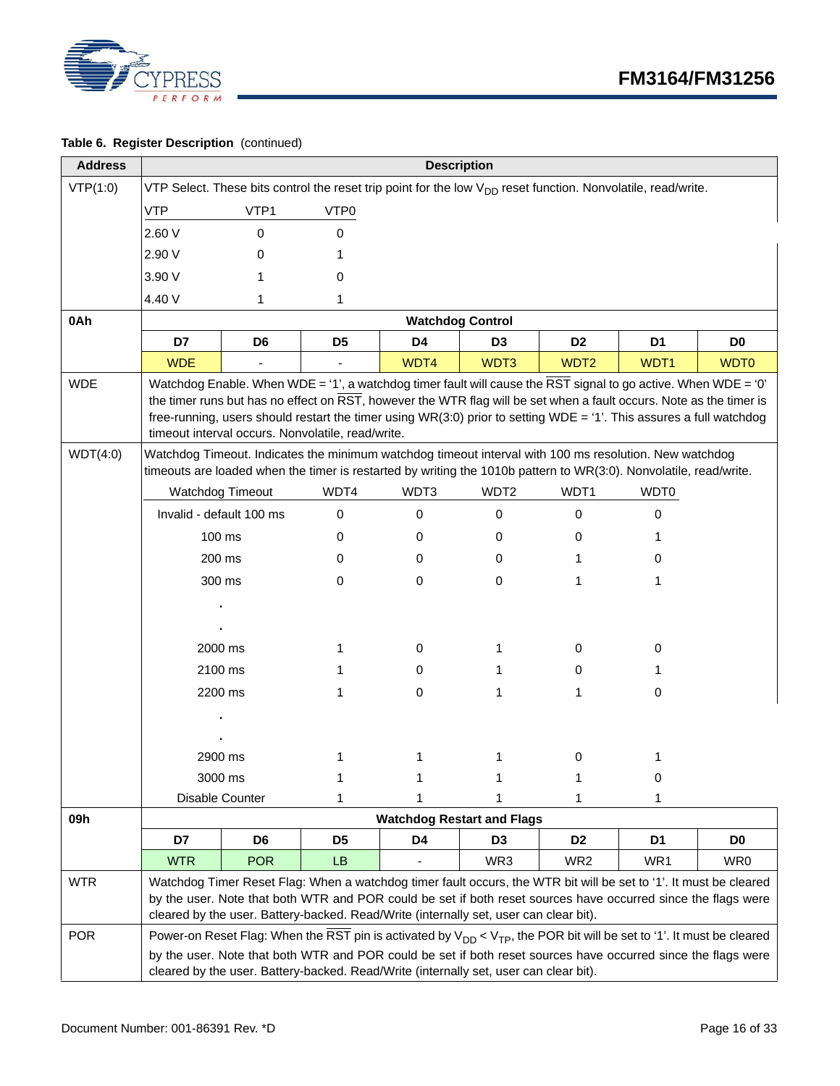

#### **Table 6. Register Description** (continued)

| <b>Address</b>         | <b>Description</b>                                                                                                                                                                                                                                                                                                                                                                                                 |                          |                                                                                       |                                   |                  |                  |                                                                                                                                                                                                                                                                                                                                                                                                                                                                                            |                  |
|------------------------|--------------------------------------------------------------------------------------------------------------------------------------------------------------------------------------------------------------------------------------------------------------------------------------------------------------------------------------------------------------------------------------------------------------------|--------------------------|---------------------------------------------------------------------------------------|-----------------------------------|------------------|------------------|--------------------------------------------------------------------------------------------------------------------------------------------------------------------------------------------------------------------------------------------------------------------------------------------------------------------------------------------------------------------------------------------------------------------------------------------------------------------------------------------|------------------|
| VTP(1:0)               | VTP Select. These bits control the reset trip point for the low V <sub>DD</sub> reset function. Nonvolatile, read/write.                                                                                                                                                                                                                                                                                           |                          |                                                                                       |                                   |                  |                  |                                                                                                                                                                                                                                                                                                                                                                                                                                                                                            |                  |
|                        | <b>VTP</b>                                                                                                                                                                                                                                                                                                                                                                                                         | VTP1                     | VTP0                                                                                  |                                   |                  |                  |                                                                                                                                                                                                                                                                                                                                                                                                                                                                                            |                  |
|                        | 2.60 V                                                                                                                                                                                                                                                                                                                                                                                                             | $\mathbf 0$              | 0                                                                                     |                                   |                  |                  |                                                                                                                                                                                                                                                                                                                                                                                                                                                                                            |                  |
|                        | 2.90 V                                                                                                                                                                                                                                                                                                                                                                                                             | 0                        | 1                                                                                     |                                   |                  |                  |                                                                                                                                                                                                                                                                                                                                                                                                                                                                                            |                  |
|                        | 3.90 V                                                                                                                                                                                                                                                                                                                                                                                                             |                          | 0                                                                                     |                                   |                  |                  |                                                                                                                                                                                                                                                                                                                                                                                                                                                                                            |                  |
|                        | 4.40 V                                                                                                                                                                                                                                                                                                                                                                                                             | 1                        | 1                                                                                     |                                   |                  |                  |                                                                                                                                                                                                                                                                                                                                                                                                                                                                                            |                  |
| 0Ah                    |                                                                                                                                                                                                                                                                                                                                                                                                                    |                          |                                                                                       | <b>Watchdog Control</b>           |                  |                  |                                                                                                                                                                                                                                                                                                                                                                                                                                                                                            |                  |
|                        | D7                                                                                                                                                                                                                                                                                                                                                                                                                 | D <sub>6</sub>           | D <sub>5</sub>                                                                        | D4                                | D <sub>3</sub>   | D <sub>2</sub>   | D <sub>1</sub>                                                                                                                                                                                                                                                                                                                                                                                                                                                                             | D <sub>0</sub>   |
|                        | <b>WDE</b>                                                                                                                                                                                                                                                                                                                                                                                                         |                          |                                                                                       | WDT4                              | WDT3             | WDT <sub>2</sub> | WDT1                                                                                                                                                                                                                                                                                                                                                                                                                                                                                       | WDT <sub>0</sub> |
| <b>WDE</b><br>WDT(4:0) |                                                                                                                                                                                                                                                                                                                                                                                                                    |                          | timeout interval occurs. Nonvolatile, read/write.                                     |                                   |                  |                  | Watchdog Enable. When WDE = '1', a watchdog timer fault will cause the $\overline{\text{RST}}$ signal to go active. When WDE = '0'<br>the timer runs but has no effect on RST, however the WTR flag will be set when a fault occurs. Note as the timer is<br>free-running, users should restart the timer using WR(3:0) prior to setting WDE = '1'. This assures a full watchdog<br>Watchdog Timeout. Indicates the minimum watchdog timeout interval with 100 ms resolution. New watchdog |                  |
|                        |                                                                                                                                                                                                                                                                                                                                                                                                                    |                          |                                                                                       |                                   |                  |                  | timeouts are loaded when the timer is restarted by writing the 1010b pattern to WR(3:0). Nonvolatile, read/write.                                                                                                                                                                                                                                                                                                                                                                          |                  |
|                        |                                                                                                                                                                                                                                                                                                                                                                                                                    | Watchdog Timeout         | WDT4                                                                                  | WDT3                              | WDT <sub>2</sub> | WDT1             | WDT0                                                                                                                                                                                                                                                                                                                                                                                                                                                                                       |                  |
|                        |                                                                                                                                                                                                                                                                                                                                                                                                                    | Invalid - default 100 ms | 0                                                                                     | 0                                 | 0                | 0                | 0                                                                                                                                                                                                                                                                                                                                                                                                                                                                                          |                  |
|                        |                                                                                                                                                                                                                                                                                                                                                                                                                    | 100 ms                   | 0                                                                                     | 0                                 | 0                | 0                |                                                                                                                                                                                                                                                                                                                                                                                                                                                                                            |                  |
|                        |                                                                                                                                                                                                                                                                                                                                                                                                                    | 200 ms                   | 0                                                                                     | 0                                 | 0                | 1                | 0                                                                                                                                                                                                                                                                                                                                                                                                                                                                                          |                  |
|                        |                                                                                                                                                                                                                                                                                                                                                                                                                    | 300 ms                   | 0                                                                                     | 0                                 | 0                | 1                | 1                                                                                                                                                                                                                                                                                                                                                                                                                                                                                          |                  |
|                        |                                                                                                                                                                                                                                                                                                                                                                                                                    |                          |                                                                                       |                                   |                  |                  |                                                                                                                                                                                                                                                                                                                                                                                                                                                                                            |                  |
|                        |                                                                                                                                                                                                                                                                                                                                                                                                                    | 2000 ms                  | 1                                                                                     | 0                                 | 1                | 0                | 0                                                                                                                                                                                                                                                                                                                                                                                                                                                                                          |                  |
|                        |                                                                                                                                                                                                                                                                                                                                                                                                                    | 2100 ms                  | 1                                                                                     | 0                                 | 1                | 0                | 1                                                                                                                                                                                                                                                                                                                                                                                                                                                                                          |                  |
|                        |                                                                                                                                                                                                                                                                                                                                                                                                                    | 2200 ms                  | 1                                                                                     | 0                                 | 1                | 1                | 0                                                                                                                                                                                                                                                                                                                                                                                                                                                                                          |                  |
|                        |                                                                                                                                                                                                                                                                                                                                                                                                                    |                          |                                                                                       |                                   |                  |                  |                                                                                                                                                                                                                                                                                                                                                                                                                                                                                            |                  |
|                        |                                                                                                                                                                                                                                                                                                                                                                                                                    | 2900 ms                  | 1                                                                                     | 1                                 | 1                | 0                | 1                                                                                                                                                                                                                                                                                                                                                                                                                                                                                          |                  |
|                        |                                                                                                                                                                                                                                                                                                                                                                                                                    | 3000 ms                  |                                                                                       | 1                                 | 1                | 1                | 0                                                                                                                                                                                                                                                                                                                                                                                                                                                                                          |                  |
|                        |                                                                                                                                                                                                                                                                                                                                                                                                                    | Disable Counter          | 1                                                                                     |                                   | 1                | 1                | 1                                                                                                                                                                                                                                                                                                                                                                                                                                                                                          |                  |
| 09h                    |                                                                                                                                                                                                                                                                                                                                                                                                                    |                          |                                                                                       | <b>Watchdog Restart and Flags</b> |                  |                  |                                                                                                                                                                                                                                                                                                                                                                                                                                                                                            |                  |
|                        | D7                                                                                                                                                                                                                                                                                                                                                                                                                 | D <sub>6</sub>           | D <sub>5</sub>                                                                        | D4                                | D <sub>3</sub>   | D <sub>2</sub>   | D1                                                                                                                                                                                                                                                                                                                                                                                                                                                                                         | D <sub>0</sub>   |
| <b>WTR</b>             | <b>WTR</b><br><b>POR</b><br>LB.<br>WR3<br>WR <sub>2</sub><br>WR <sub>1</sub><br>WR0<br>Watchdog Timer Reset Flag: When a watchdog timer fault occurs, the WTR bit will be set to '1'. It must be cleared<br>by the user. Note that both WTR and POR could be set if both reset sources have occurred since the flags were<br>cleared by the user. Battery-backed. Read/Write (internally set, user can clear bit). |                          |                                                                                       |                                   |                  |                  |                                                                                                                                                                                                                                                                                                                                                                                                                                                                                            |                  |
| <b>POR</b>             |                                                                                                                                                                                                                                                                                                                                                                                                                    |                          | cleared by the user. Battery-backed. Read/Write (internally set, user can clear bit). |                                   |                  |                  | Power-on Reset Flag: When the RST pin is activated by $V_{DD} < V_{TP}$ , the POR bit will be set to '1'. It must be cleared<br>by the user. Note that both WTR and POR could be set if both reset sources have occurred since the flags were                                                                                                                                                                                                                                              |                  |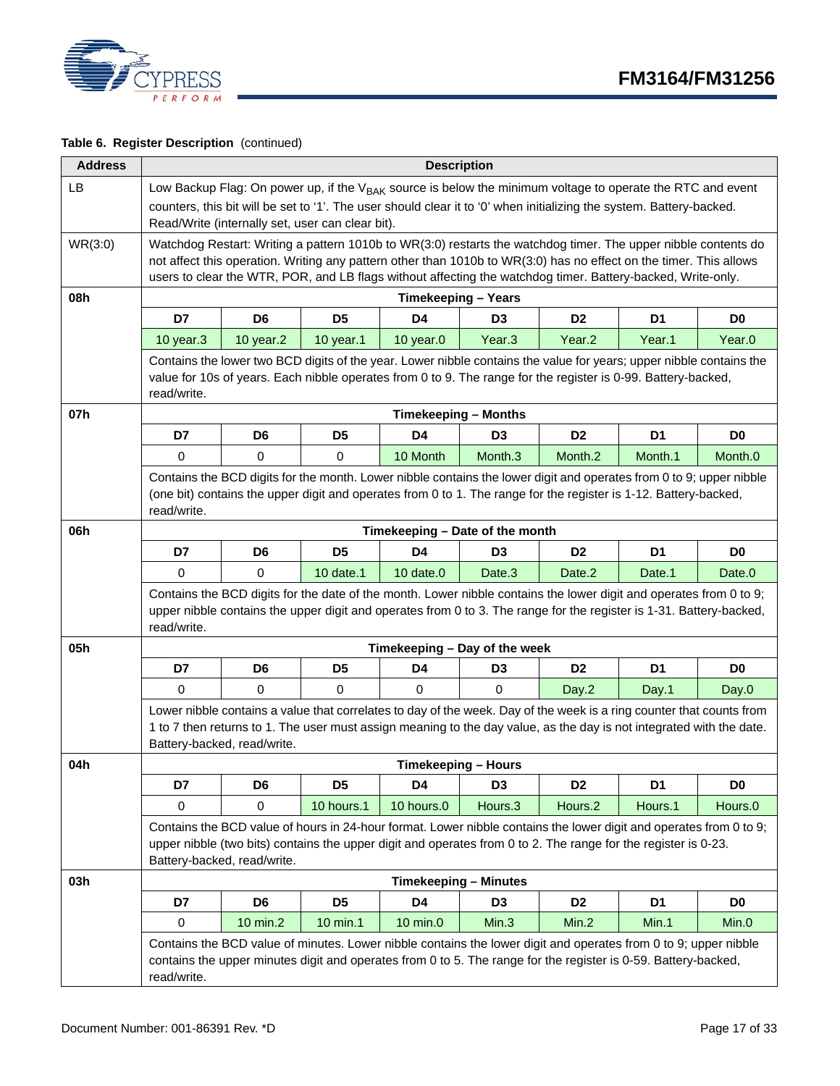



#### **Table 6. Register Description** (continued)

| <b>Address</b> | <b>Description</b> |                                                                                                                                                                                                                                                                                                                                                     |                |                                 |                |                |                                                                                                                                                                                                                                                |                |  |
|----------------|--------------------|-----------------------------------------------------------------------------------------------------------------------------------------------------------------------------------------------------------------------------------------------------------------------------------------------------------------------------------------------------|----------------|---------------------------------|----------------|----------------|------------------------------------------------------------------------------------------------------------------------------------------------------------------------------------------------------------------------------------------------|----------------|--|
| LB             |                    | Read/Write (internally set, user can clear bit).                                                                                                                                                                                                                                                                                                    |                |                                 |                |                | Low Backup Flag: On power up, if the V <sub>BAK</sub> source is below the minimum voltage to operate the RTC and event<br>counters, this bit will be set to '1'. The user should clear it to '0' when initializing the system. Battery-backed. |                |  |
| WR(3:0)        |                    | Watchdog Restart: Writing a pattern 1010b to WR(3:0) restarts the watchdog timer. The upper nibble contents do<br>not affect this operation. Writing any pattern other than 1010b to WR(3:0) has no effect on the timer. This allows<br>users to clear the WTR, POR, and LB flags without affecting the watchdog timer. Battery-backed, Write-only. |                |                                 |                |                |                                                                                                                                                                                                                                                |                |  |
| 08h            |                    |                                                                                                                                                                                                                                                                                                                                                     |                | <b>Timekeeping - Years</b>      |                |                |                                                                                                                                                                                                                                                |                |  |
|                | D7                 | D <sub>6</sub>                                                                                                                                                                                                                                                                                                                                      | D5             | D <sub>4</sub>                  | D <sub>3</sub> | D <sub>2</sub> | D <sub>1</sub>                                                                                                                                                                                                                                 | D <sub>0</sub> |  |
|                | 10 year.3          | 10 year.2                                                                                                                                                                                                                                                                                                                                           | 10 year.1      | $10$ year. $0$                  | Year.3         | Year.2         | Year.1                                                                                                                                                                                                                                         | Year.0         |  |
|                | read/write.        |                                                                                                                                                                                                                                                                                                                                                     |                |                                 |                |                | Contains the lower two BCD digits of the year. Lower nibble contains the value for years; upper nibble contains the<br>value for 10s of years. Each nibble operates from 0 to 9. The range for the register is 0-99. Battery-backed,           |                |  |
| 07h            |                    |                                                                                                                                                                                                                                                                                                                                                     |                | <b>Timekeeping - Months</b>     |                |                |                                                                                                                                                                                                                                                |                |  |
|                | D7                 | D6                                                                                                                                                                                                                                                                                                                                                  | D5             | D <sub>4</sub>                  | D <sub>3</sub> | D <sub>2</sub> | D <sub>1</sub>                                                                                                                                                                                                                                 | D <sub>0</sub> |  |
|                | 0                  | 0                                                                                                                                                                                                                                                                                                                                                   | 0              | 10 Month                        | Month.3        | Month.2        | Month.1                                                                                                                                                                                                                                        | Month.0        |  |
|                | read/write.        |                                                                                                                                                                                                                                                                                                                                                     |                |                                 |                |                | Contains the BCD digits for the month. Lower nibble contains the lower digit and operates from 0 to 9; upper nibble<br>(one bit) contains the upper digit and operates from 0 to 1. The range for the register is 1-12. Battery-backed,        |                |  |
| 06h            |                    |                                                                                                                                                                                                                                                                                                                                                     |                | Timekeeping - Date of the month |                |                |                                                                                                                                                                                                                                                |                |  |
|                | D7                 | D <sub>6</sub>                                                                                                                                                                                                                                                                                                                                      | D <sub>5</sub> | D <sub>4</sub>                  | D <sub>3</sub> | D <sub>2</sub> | D <sub>1</sub>                                                                                                                                                                                                                                 | D <sub>0</sub> |  |
|                | 0                  | 0                                                                                                                                                                                                                                                                                                                                                   | 10 date.1      | 10 date.0                       | Date.3         | Date.2         | Date.1                                                                                                                                                                                                                                         | Date.0         |  |
|                | read/write.        |                                                                                                                                                                                                                                                                                                                                                     |                |                                 |                |                | Contains the BCD digits for the date of the month. Lower nibble contains the lower digit and operates from 0 to 9;<br>upper nibble contains the upper digit and operates from 0 to 3. The range for the register is 1-31. Battery-backed,      |                |  |
| 05h            |                    |                                                                                                                                                                                                                                                                                                                                                     |                | Timekeeping - Day of the week   |                |                |                                                                                                                                                                                                                                                |                |  |
|                | D7                 | D <sub>6</sub>                                                                                                                                                                                                                                                                                                                                      | D <sub>5</sub> | D4                              | D <sub>3</sub> | D <sub>2</sub> | D <sub>1</sub>                                                                                                                                                                                                                                 | D <sub>0</sub> |  |
|                | 0                  | $\Omega$                                                                                                                                                                                                                                                                                                                                            | 0              | 0                               | 0              | Day.2          | Day.1                                                                                                                                                                                                                                          | Day.0          |  |
|                |                    | Battery-backed, read/write.                                                                                                                                                                                                                                                                                                                         |                |                                 |                |                | Lower nibble contains a value that correlates to day of the week. Day of the week is a ring counter that counts from<br>1 to 7 then returns to 1. The user must assign meaning to the day value, as the day is not integrated with the date.   |                |  |
| 04h            |                    |                                                                                                                                                                                                                                                                                                                                                     |                | <b>Timekeeping - Hours</b>      |                |                |                                                                                                                                                                                                                                                |                |  |
|                | D7                 | D <sub>6</sub>                                                                                                                                                                                                                                                                                                                                      | D <sub>5</sub> | D4                              | D <sub>3</sub> | D <sub>2</sub> | D <sub>1</sub>                                                                                                                                                                                                                                 | D <sub>0</sub> |  |
|                | 0                  | $\mathbf 0$                                                                                                                                                                                                                                                                                                                                         | 10 hours.1     | 10 hours.0                      | Hours.3        | Hours.2        | Hours.1                                                                                                                                                                                                                                        | Hours.0        |  |
|                |                    | Battery-backed, read/write.                                                                                                                                                                                                                                                                                                                         |                |                                 |                |                | Contains the BCD value of hours in 24-hour format. Lower nibble contains the lower digit and operates from 0 to 9;<br>upper nibble (two bits) contains the upper digit and operates from 0 to 2. The range for the register is 0-23.           |                |  |
| 03h            |                    |                                                                                                                                                                                                                                                                                                                                                     |                | <b>Timekeeping - Minutes</b>    |                |                |                                                                                                                                                                                                                                                |                |  |
|                | D7                 | D <sub>6</sub>                                                                                                                                                                                                                                                                                                                                      | D <sub>5</sub> | D4                              | D <sub>3</sub> | D <sub>2</sub> | D <sub>1</sub>                                                                                                                                                                                                                                 | D <sub>0</sub> |  |
|                | 0                  | 10 min.2                                                                                                                                                                                                                                                                                                                                            | 10 min.1       | 10 min.0                        | Min.3          | Min.2          | Min.1                                                                                                                                                                                                                                          | Min.0          |  |
|                | read/write.        |                                                                                                                                                                                                                                                                                                                                                     |                |                                 |                |                | Contains the BCD value of minutes. Lower nibble contains the lower digit and operates from 0 to 9; upper nibble<br>contains the upper minutes digit and operates from 0 to 5. The range for the register is 0-59. Battery-backed,              |                |  |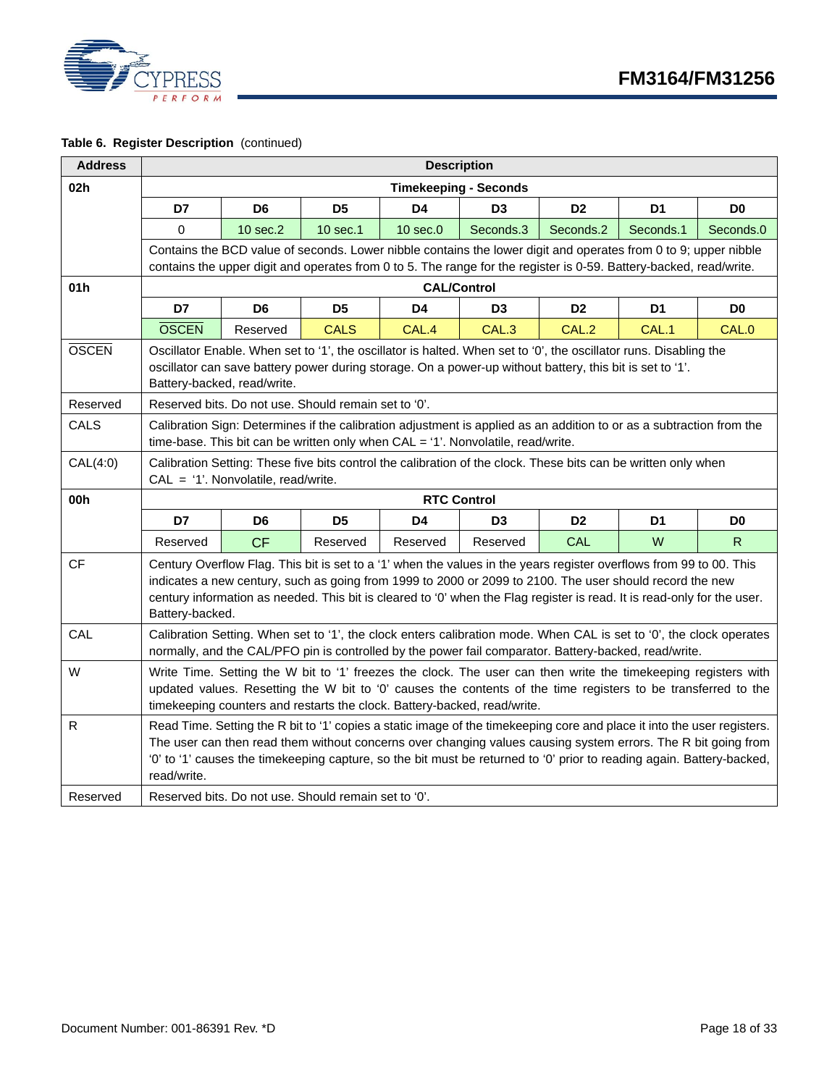

|  |  | Table 6. Register Description (continued) |  |
|--|--|-------------------------------------------|--|
|--|--|-------------------------------------------|--|

| <b>Address</b> | <b>Description</b> |                                                                                                                                                                                                                                                                                                             |                                                                                                                                                                                                                                                                                                                                                                   |                    |                              |                |                |                |  |  |  |
|----------------|--------------------|-------------------------------------------------------------------------------------------------------------------------------------------------------------------------------------------------------------------------------------------------------------------------------------------------------------|-------------------------------------------------------------------------------------------------------------------------------------------------------------------------------------------------------------------------------------------------------------------------------------------------------------------------------------------------------------------|--------------------|------------------------------|----------------|----------------|----------------|--|--|--|
| 02h            |                    |                                                                                                                                                                                                                                                                                                             |                                                                                                                                                                                                                                                                                                                                                                   |                    | <b>Timekeeping - Seconds</b> |                |                |                |  |  |  |
|                | D7                 | D6                                                                                                                                                                                                                                                                                                          | D <sub>5</sub>                                                                                                                                                                                                                                                                                                                                                    | D4                 | D <sub>3</sub>               | D <sub>2</sub> | D <sub>1</sub> | D <sub>0</sub> |  |  |  |
|                | $\Omega$           | 10 sec.2                                                                                                                                                                                                                                                                                                    | 10 sec.1                                                                                                                                                                                                                                                                                                                                                          | $10$ sec. $0$      | Seconds.3                    | Seconds.2      | Seconds.1      | Seconds.0      |  |  |  |
|                |                    | Contains the BCD value of seconds. Lower nibble contains the lower digit and operates from 0 to 9; upper nibble                                                                                                                                                                                             |                                                                                                                                                                                                                                                                                                                                                                   |                    |                              |                |                |                |  |  |  |
|                |                    |                                                                                                                                                                                                                                                                                                             | contains the upper digit and operates from 0 to 5. The range for the register is 0-59. Battery-backed, read/write.                                                                                                                                                                                                                                                |                    |                              |                |                |                |  |  |  |
| 01h            |                    |                                                                                                                                                                                                                                                                                                             |                                                                                                                                                                                                                                                                                                                                                                   | <b>CAL/Control</b> |                              |                |                |                |  |  |  |
|                | D7                 | D <sub>6</sub>                                                                                                                                                                                                                                                                                              | D <sub>5</sub>                                                                                                                                                                                                                                                                                                                                                    | D4                 | D <sub>3</sub>               | D <sub>2</sub> | D <sub>1</sub> | D <sub>0</sub> |  |  |  |
|                | <b>OSCEN</b>       | Reserved                                                                                                                                                                                                                                                                                                    | <b>CALS</b>                                                                                                                                                                                                                                                                                                                                                       | CAL.4              | CAL.3                        | CAL.2          | CAL.1          | CAL.0          |  |  |  |
| <b>OSCEN</b>   |                    | Battery-backed, read/write.                                                                                                                                                                                                                                                                                 | Oscillator Enable. When set to '1', the oscillator is halted. When set to '0', the oscillator runs. Disabling the<br>oscillator can save battery power during storage. On a power-up without battery, this bit is set to '1'.                                                                                                                                     |                    |                              |                |                |                |  |  |  |
| Reserved       |                    |                                                                                                                                                                                                                                                                                                             | Reserved bits. Do not use. Should remain set to '0'.                                                                                                                                                                                                                                                                                                              |                    |                              |                |                |                |  |  |  |
| CALS           |                    |                                                                                                                                                                                                                                                                                                             | Calibration Sign: Determines if the calibration adjustment is applied as an addition to or as a subtraction from the<br>time-base. This bit can be written only when CAL = '1'. Nonvolatile, read/write.                                                                                                                                                          |                    |                              |                |                |                |  |  |  |
| CAL(4:0)       |                    | $CAL = '1'. Nonvolatile, read/write.$                                                                                                                                                                                                                                                                       | Calibration Setting: These five bits control the calibration of the clock. These bits can be written only when                                                                                                                                                                                                                                                    |                    |                              |                |                |                |  |  |  |
| 00h            |                    |                                                                                                                                                                                                                                                                                                             |                                                                                                                                                                                                                                                                                                                                                                   | <b>RTC Control</b> |                              |                |                |                |  |  |  |
|                | D7                 | D6                                                                                                                                                                                                                                                                                                          | D <sub>5</sub>                                                                                                                                                                                                                                                                                                                                                    | D4                 | D <sub>3</sub>               | D <sub>2</sub> | D1             | D0             |  |  |  |
|                | Reserved           | CF                                                                                                                                                                                                                                                                                                          | Reserved                                                                                                                                                                                                                                                                                                                                                          | Reserved           | Reserved                     | <b>CAL</b>     | W              | R.             |  |  |  |
| CF             | Battery-backed.    |                                                                                                                                                                                                                                                                                                             | Century Overflow Flag. This bit is set to a '1' when the values in the years register overflows from 99 to 00. This<br>indicates a new century, such as going from 1999 to 2000 or 2099 to 2100. The user should record the new<br>century information as needed. This bit is cleared to '0' when the Flag register is read. It is read-only for the user.        |                    |                              |                |                |                |  |  |  |
| CAL            |                    |                                                                                                                                                                                                                                                                                                             | Calibration Setting. When set to '1', the clock enters calibration mode. When CAL is set to '0', the clock operates<br>normally, and the CAL/PFO pin is controlled by the power fail comparator. Battery-backed, read/write.                                                                                                                                      |                    |                              |                |                |                |  |  |  |
| W              |                    | Write Time. Setting the W bit to '1' freezes the clock. The user can then write the timekeeping registers with<br>updated values. Resetting the W bit to '0' causes the contents of the time registers to be transferred to the<br>timekeeping counters and restarts the clock. Battery-backed, read/write. |                                                                                                                                                                                                                                                                                                                                                                   |                    |                              |                |                |                |  |  |  |
| R              | read/write.        |                                                                                                                                                                                                                                                                                                             | Read Time. Setting the R bit to '1' copies a static image of the timekeeping core and place it into the user registers.<br>The user can then read them without concerns over changing values causing system errors. The R bit going from<br>'0' to '1' causes the timekeeping capture, so the bit must be returned to '0' prior to reading again. Battery-backed, |                    |                              |                |                |                |  |  |  |
| Reserved       |                    |                                                                                                                                                                                                                                                                                                             | Reserved bits. Do not use. Should remain set to '0'.                                                                                                                                                                                                                                                                                                              |                    |                              |                |                |                |  |  |  |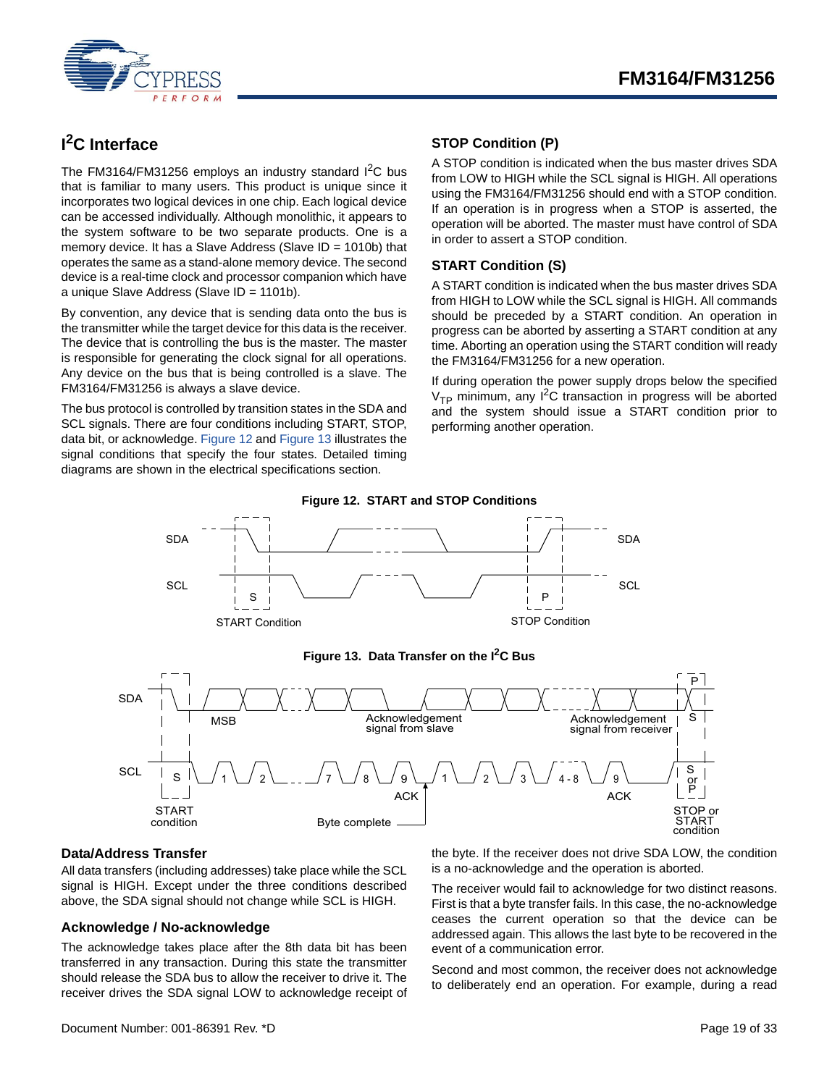

# <span id="page-18-0"></span>**I 2C Interface**

The FM3164/FM31256 employs an industry standard  $I<sup>2</sup>C$  bus that is familiar to many users. This product is unique since it incorporates two logical devices in one chip. Each logical device can be accessed individually. Although monolithic, it appears to the system software to be two separate products. One is a memory device. It has a Slave Address (Slave ID = 1010b) that operates the same as a stand-alone memory device. The second device is a real-time clock and processor companion which have a unique Slave Address (Slave ID = 1101b).

By convention, any device that is sending data onto the bus is the transmitter while the target device for this data is the receiver. The device that is controlling the bus is the master. The master is responsible for generating the clock signal for all operations. Any device on the bus that is being controlled is a slave. The FM3164/FM31256 is always a slave device.

<span id="page-18-5"></span>The bus protocol is controlled by transition states in the SDA and SCL signals. There are four conditions including START, STOP, data bit, or acknowledge. [Figure 12](#page-18-5) and [Figure 13](#page-18-6) illustrates the signal conditions that specify the four states. Detailed timing diagrams are shown in the electrical specifications section.

## <span id="page-18-1"></span>**STOP Condition (P)**

A STOP condition is indicated when the bus master drives SDA from LOW to HIGH while the SCL signal is HIGH. All operations using the FM3164/FM31256 should end with a STOP condition. If an operation is in progress when a STOP is asserted, the operation will be aborted. The master must have control of SDA in order to assert a STOP condition.

### <span id="page-18-2"></span>**START Condition (S)**

A START condition is indicated when the bus master drives SDA from HIGH to LOW while the SCL signal is HIGH. All commands should be preceded by a START condition. An operation in progress can be aborted by asserting a START condition at any time. Aborting an operation using the START condition will ready the FM3164/FM31256 for a new operation.

If during operation the power supply drops below the specified  $V_{\text{TP}}$  minimum, any  $I^2C$  transaction in progress will be aborted and the system should issue a START condition prior to performing another operation.



#### **Figure 13. Data Transfer on the I2C Bus**

<span id="page-18-6"></span>

#### <span id="page-18-3"></span>**Data/Address Transfer**

All data transfers (including addresses) take place while the SCL signal is HIGH. Except under the three conditions described above, the SDA signal should not change while SCL is HIGH.

#### <span id="page-18-4"></span>**Acknowledge / No-acknowledge**

The acknowledge takes place after the 8th data bit has been transferred in any transaction. During this state the transmitter should release the SDA bus to allow the receiver to drive it. The receiver drives the SDA signal LOW to acknowledge receipt of the byte. If the receiver does not drive SDA LOW, the condition is a no-acknowledge and the operation is aborted.

The receiver would fail to acknowledge for two distinct reasons. First is that a byte transfer fails. In this case, the no-acknowledge ceases the current operation so that the device can be addressed again. This allows the last byte to be recovered in the event of a communication error.

Second and most common, the receiver does not acknowledge to deliberately end an operation. For example, during a read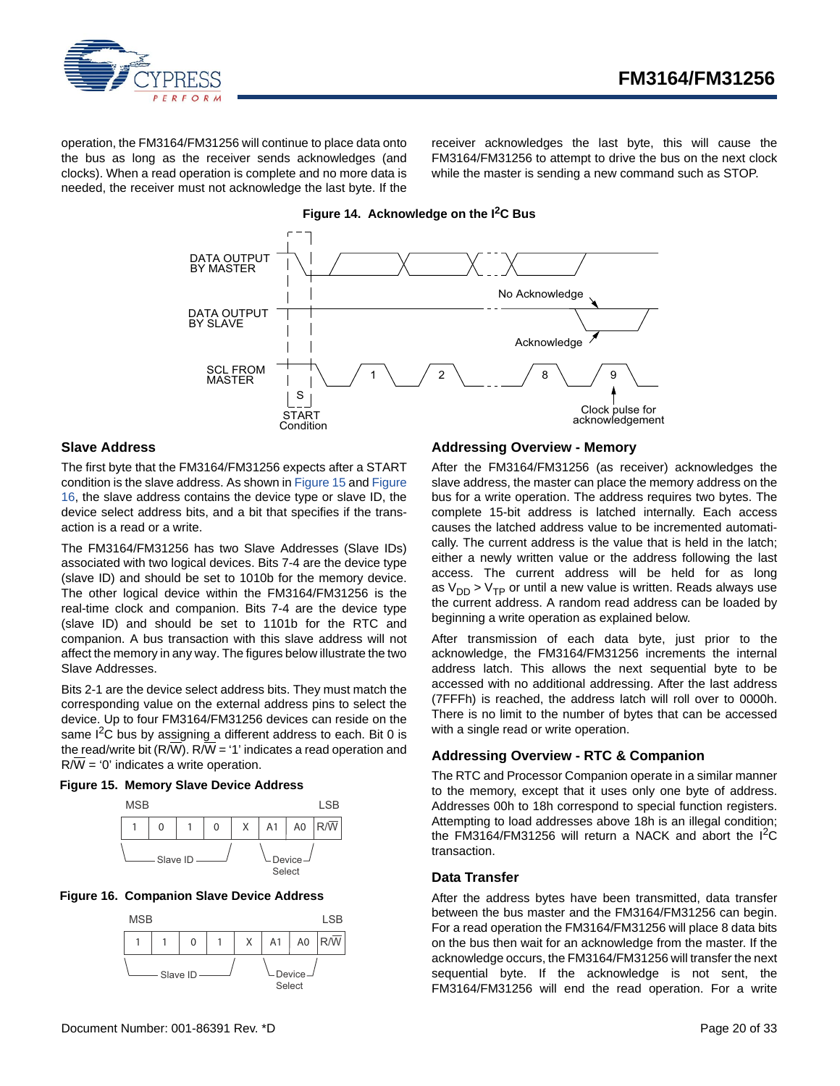

operation, the FM3164/FM31256 will continue to place data onto the bus as long as the receiver sends acknowledges (and clocks). When a read operation is complete and no more data is needed, the receiver must not acknowledge the last byte. If the receiver acknowledges the last byte, this will cause the FM3164/FM31256 to attempt to drive the bus on the next clock while the master is sending a new command such as STOP.



#### <span id="page-19-0"></span>**Slave Address**

The first byte that the FM3164/FM31256 expects after a START condition is the slave address. As shown in [Figure 15](#page-19-5) and [Figure](#page-19-4) [16,](#page-19-4) the slave address contains the device type or slave ID, the device select address bits, and a bit that specifies if the transaction is a read or a write.

The FM3164/FM31256 has two Slave Addresses (Slave IDs) associated with two logical devices. Bits 7-4 are the device type (slave ID) and should be set to 1010b for the memory device. The other logical device within the FM3164/FM31256 is the real-time clock and companion. Bits 7-4 are the device type (slave ID) and should be set to 1101b for the RTC and companion. A bus transaction with this slave address will not affect the memory in any way. The figures below illustrate the two Slave Addresses.

Bits 2-1 are the device select address bits. They must match the corresponding value on the external address pins to select the device. Up to four FM3164/FM31256 devices can reside on the same  $I^2C$  bus by assigning a different address to each. Bit 0 is the read/write bit (R/W). R/W = '1' indicates a read operation and R/W = '0' indicates a write operation.

#### <span id="page-19-5"></span>**Figure 15. Memory Slave Device Address**



#### <span id="page-19-4"></span>**Figure 16. Companion Slave Device Address**



#### <span id="page-19-1"></span>**Addressing Overview - Memory**

After the FM3164/FM31256 (as receiver) acknowledges the slave address, the master can place the memory address on the bus for a write operation. The address requires two bytes. The complete 15-bit address is latched internally. Each access causes the latched address value to be incremented automatically. The current address is the value that is held in the latch; either a newly written value or the address following the last access. The current address will be held for as long as  $V_{DD}$  >  $V_{TP}$  or until a new value is written. Reads always use the current address. A random read address can be loaded by beginning a write operation as explained below.

After transmission of each data byte, just prior to the acknowledge, the FM3164/FM31256 increments the internal address latch. This allows the next sequential byte to be accessed with no additional addressing. After the last address (7FFFh) is reached, the address latch will roll over to 0000h. There is no limit to the number of bytes that can be accessed with a single read or write operation.

#### <span id="page-19-2"></span>**Addressing Overview - RTC & Companion**

The RTC and Processor Companion operate in a similar manner to the memory, except that it uses only one byte of address. Addresses 00h to 18h correspond to special function registers. Attempting to load addresses above 18h is an illegal condition; the FM3164/FM31256 will return a NACK and abort the  $I^2C$ transaction.

#### <span id="page-19-3"></span>**Data Transfer**

After the address bytes have been transmitted, data transfer between the bus master and the FM3164/FM31256 can begin. For a read operation the FM3164/FM31256 will place 8 data bits on the bus then wait for an acknowledge from the master. If the acknowledge occurs, the FM3164/FM31256 will transfer the next sequential byte. If the acknowledge is not sent, the FM3164/FM31256 will end the read operation. For a write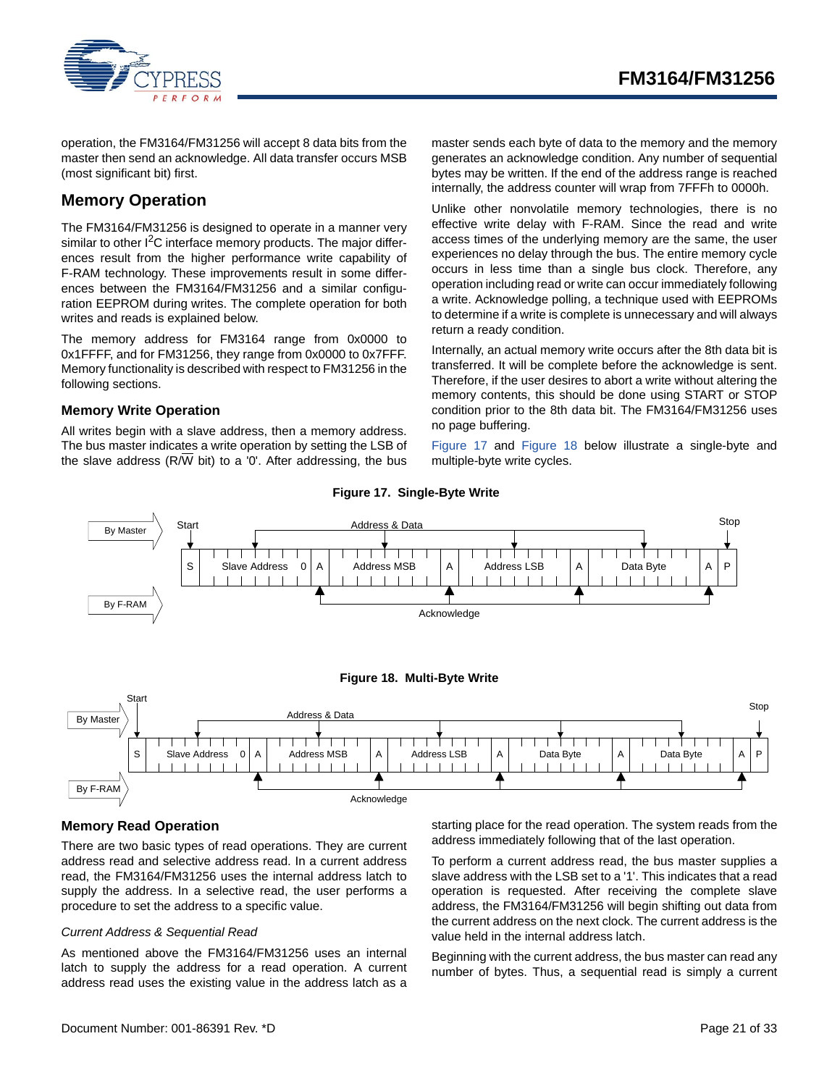

operation, the FM3164/FM31256 will accept 8 data bits from the master then send an acknowledge. All data transfer occurs MSB (most significant bit) first.

## <span id="page-20-0"></span>**Memory Operation**

The FM3164/FM31256 is designed to operate in a manner very similar to other  $1^2C$  interface memory products. The major differences result from the higher performance write capability of F-RAM technology. These improvements result in some differences between the FM3164/FM31256 and a similar configuration EEPROM during writes. The complete operation for both writes and reads is explained below.

The memory address for FM3164 range from 0x0000 to 0x1FFFF, and for FM31256, they range from 0x0000 to 0x7FFF. Memory functionality is described with respect to FM31256 in the following sections.

### <span id="page-20-1"></span>**Memory Write Operation**

All writes begin with a slave address, then a memory address. The bus master indicates a write operation by setting the LSB of the slave address (R/ $\overline{W}$  bit) to a '0'. After addressing, the bus master sends each byte of data to the memory and the memory generates an acknowledge condition. Any number of sequential bytes may be written. If the end of the address range is reached internally, the address counter will wrap from 7FFFh to 0000h.

Unlike other nonvolatile memory technologies, there is no effective write delay with F-RAM. Since the read and write access times of the underlying memory are the same, the user experiences no delay through the bus. The entire memory cycle occurs in less time than a single bus clock. Therefore, any operation including read or write can occur immediately following a write. Acknowledge polling, a technique used with EEPROMs to determine if a write is complete is unnecessary and will always return a ready condition.

Internally, an actual memory write occurs after the 8th data bit is transferred. It will be complete before the acknowledge is sent. Therefore, if the user desires to abort a write without altering the memory contents, this should be done using START or STOP condition prior to the 8th data bit. The FM3164/FM31256 uses no page buffering.

[Figure 17](#page-20-3) and [Figure 18](#page-20-4) below illustrate a single-byte and multiple-byte write cycles.

<span id="page-20-3"></span>

#### **Figure 17. Single-Byte Write**

#### <span id="page-20-4"></span><span id="page-20-2"></span>**Memory Read Operation**

There are two basic types of read operations. They are current address read and selective address read. In a current address read, the FM3164/FM31256 uses the internal address latch to supply the address. In a selective read, the user performs a procedure to set the address to a specific value.

#### *Current Address & Sequential Read*

As mentioned above the FM3164/FM31256 uses an internal latch to supply the address for a read operation. A current address read uses the existing value in the address latch as a starting place for the read operation. The system reads from the address immediately following that of the last operation.

To perform a current address read, the bus master supplies a slave address with the LSB set to a '1'. This indicates that a read operation is requested. After receiving the complete slave address, the FM3164/FM31256 will begin shifting out data from the current address on the next clock. The current address is the value held in the internal address latch.

Beginning with the current address, the bus master can read any number of bytes. Thus, a sequential read is simply a current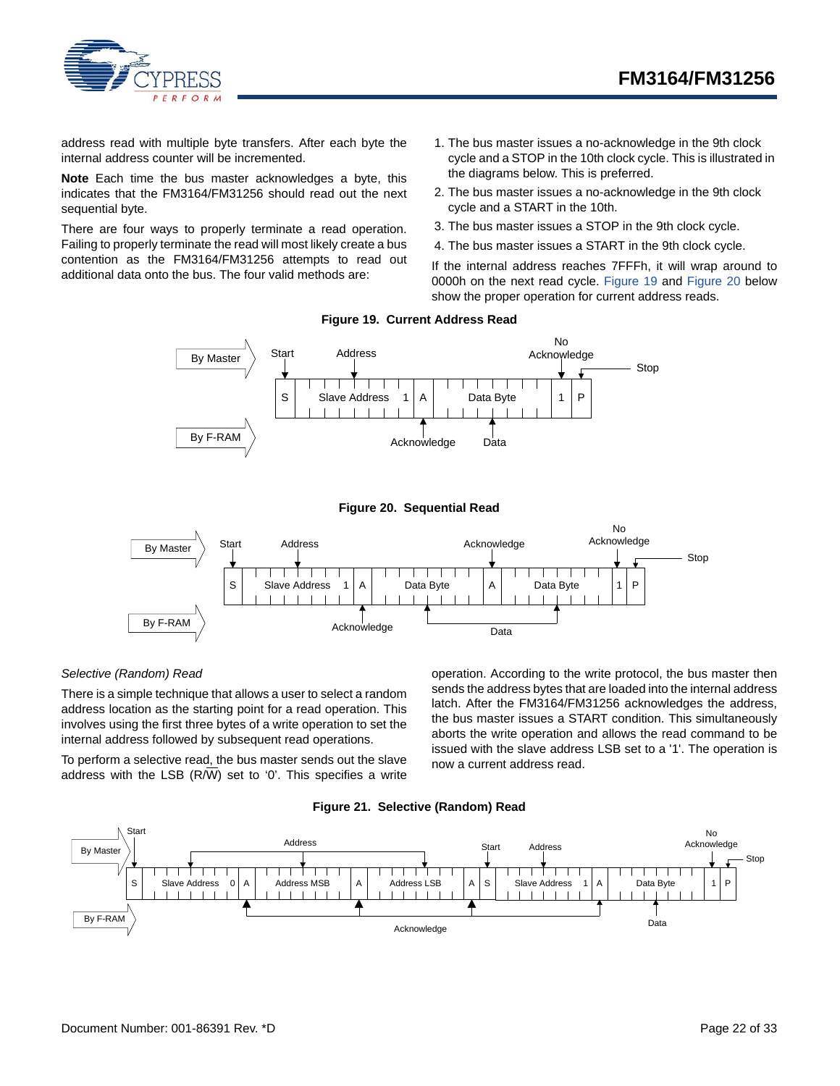

address read with multiple byte transfers. After each byte the internal address counter will be incremented.

**Note** Each time the bus master acknowledges a byte, this indicates that the FM3164/FM31256 should read out the next sequential byte.

<span id="page-21-0"></span>There are four ways to properly terminate a read operation. Failing to properly terminate the read will most likely create a bus contention as the FM3164/FM31256 attempts to read out additional data onto the bus. The four valid methods are:

- 1. The bus master issues a no-acknowledge in the 9th clock cycle and a STOP in the 10th clock cycle. This is illustrated in the diagrams below. This is preferred.
- 2. The bus master issues a no-acknowledge in the 9th clock cycle and a START in the 10th.
- 3. The bus master issues a STOP in the 9th clock cycle.
- 4. The bus master issues a START in the 9th clock cycle.

If the internal address reaches 7FFFh, it will wrap around to 0000h on the next read cycle. [Figure 19](#page-21-0) and [Figure 20](#page-21-1) below show the proper operation for current address reads.

#### **Figure 19. Current Address Read**





<span id="page-21-1"></span>

#### *Selective (Random) Read*

There is a simple technique that allows a user to select a random address location as the starting point for a read operation. This involves using the first three bytes of a write operation to set the internal address followed by subsequent read operations.

To perform a selective read, the bus master sends out the slave address with the LSB (R/W) set to '0'. This specifies a write operation. According to the write protocol, the bus master then sends the address bytes that are loaded into the internal address latch. After the FM3164/FM31256 acknowledges the address, the bus master issues a START condition. This simultaneously aborts the write operation and allows the read command to be issued with the slave address LSB set to a '1'. The operation is now a current address read.



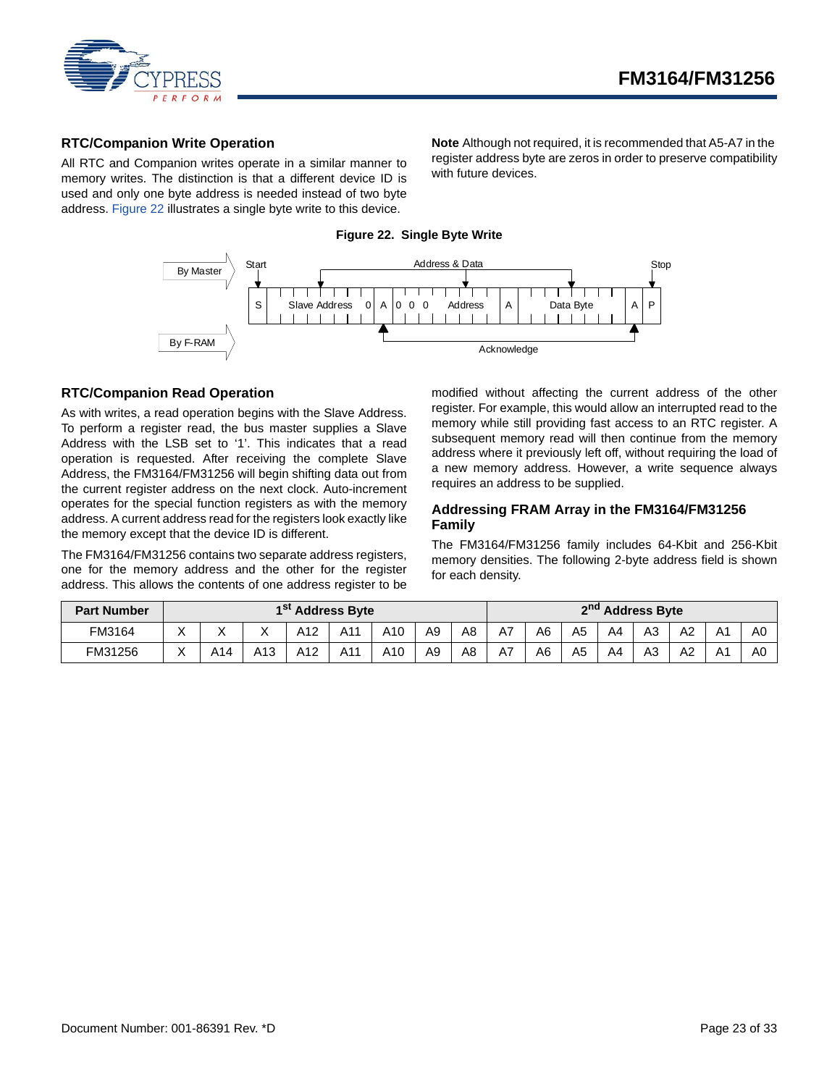

#### <span id="page-22-0"></span>**RTC/Companion Write Operation**

<span id="page-22-3"></span>All RTC and Companion writes operate in a similar manner to memory writes. The distinction is that a different device ID is used and only one byte address is needed instead of two byte address. [Figure 22](#page-22-3) illustrates a single byte write to this device.

**Note** Although not required, it is recommended that A5-A7 in the register address byte are zeros in order to preserve compatibility with future devices.

## By Master Start Address & Data Stop  $S \cap$  Slave Address  $0 \cap A \cap 0$  Address  $|A \cap 0|$  Data Byte 000  $\overline{1}$ By F-RAM Acknowledge

**Figure 22. Single Byte Write**

#### <span id="page-22-1"></span>**RTC/Companion Read Operation**

As with writes, a read operation begins with the Slave Address. To perform a register read, the bus master supplies a Slave Address with the LSB set to '1'. This indicates that a read operation is requested. After receiving the complete Slave Address, the FM3164/FM31256 will begin shifting data out from the current register address on the next clock. Auto-increment operates for the special function registers as with the memory address. A current address read for the registers look exactly like the memory except that the device ID is different.

The FM3164/FM31256 contains two separate address registers, one for the memory address and the other for the register address. This allows the contents of one address register to be

modified without affecting the current address of the other register. For example, this would allow an interrupted read to the memory while still providing fast access to an RTC register. A subsequent memory read will then continue from the memory address where it previously left off, without requiring the load of a new memory address. However, a write sequence always requires an address to be supplied.

#### <span id="page-22-2"></span>**Addressing FRAM Array in the FM3164/FM31256 Family**

The FM3164/FM31256 family includes 64-Kbit and 256-Kbit memory densities. The following 2-byte address field is shown for each density.

| <b>Part Number</b> | 1 <sup>st</sup> Address Byte |     |     |     |     |     |                |                | 2 <sup>nd</sup> Address Byte |                |                |                |                |    |                |    |
|--------------------|------------------------------|-----|-----|-----|-----|-----|----------------|----------------|------------------------------|----------------|----------------|----------------|----------------|----|----------------|----|
| FM3164             | $\checkmark$                 |     |     | A12 | A11 | A10 | A <sub>9</sub> | A8             | A7                           | A <sub>6</sub> | A <sub>5</sub> | A <sub>4</sub> | A3             | A2 | A1             | A0 |
| FM31256            |                              | A14 | A13 | A12 | A11 | A10 | A <sub>9</sub> | A <sub>8</sub> | A7                           | A6             | A <sub>5</sub> | A4             | A <sub>3</sub> | A2 | A <sub>1</sub> | A0 |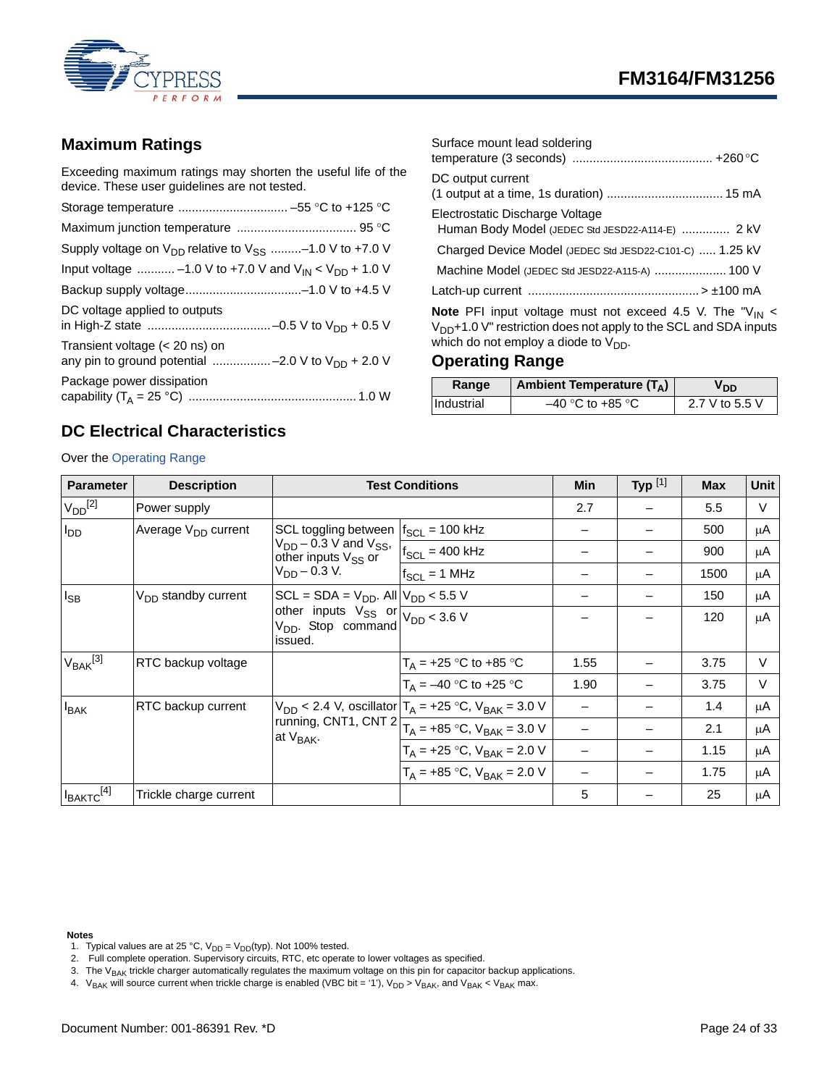



## <span id="page-23-0"></span>**Maximum Ratings**

Exceeding maximum ratings may shorten the useful life of the device. These user guidelines are not tested.

| Supply voltage on $V_{DD}$ relative to $V_{SS}$ -1.0 V to +7.0 V                           |
|--------------------------------------------------------------------------------------------|
| Input voltage  -1.0 V to +7.0 V and $V_{IN}$ < $V_{DD}$ + 1.0 V                            |
|                                                                                            |
| DC voltage applied to outputs                                                              |
| Transient voltage $(< 20$ ns) on<br>any pin to ground potential -2.0 V to $V_{DD}$ + 2.0 V |
| Package power dissipation                                                                  |

| Surface mount lead soldering                                                                                                                                                                |
|---------------------------------------------------------------------------------------------------------------------------------------------------------------------------------------------|
| DC output current                                                                                                                                                                           |
| Electrostatic Discharge Voltage<br>Human Body Model (JEDEC Std JESD22-A114-E)  2 kV                                                                                                         |
| Charged Device Model (JEDEC Std JESD22-C101-C)  1.25 kV                                                                                                                                     |
|                                                                                                                                                                                             |
|                                                                                                                                                                                             |
| <b>Note</b> PFI input voltage must not exceed 4.5 V. The " $V_{IN}$ <<br>$V_{DD}$ +1.0 V" restriction does not apply to the SCL and SDA inputs<br>which do not employ a diode to $V_{DD}$ . |

## <span id="page-23-1"></span>**Operating Range**

| Range      | Ambient Temperature $(T_A)$ | V DD.          |
|------------|-----------------------------|----------------|
| Industrial | $-40$ °C to +85 °C          | 2.7 V to 5.5 V |

## <span id="page-23-2"></span>**DC Electrical Characteristics**

Over the [Operating Range](#page-23-1)

| <b>Parameter</b>  | <b>Description</b>                                                                                                          |                                                             | <b>Test Conditions</b>                                                            | Min  | Typ $[1]$ | <b>Max</b> | Unit   |
|-------------------|-----------------------------------------------------------------------------------------------------------------------------|-------------------------------------------------------------|-----------------------------------------------------------------------------------|------|-----------|------------|--------|
| $V_{DD}^{[2]}$    | Power supply                                                                                                                |                                                             |                                                                                   | 2.7  |           | 5.5        | V      |
| $I_{DD}$          | Average V <sub>DD</sub> current                                                                                             | SCL toggling between                                        | $f_{SCL}$ = 100 kHz                                                               |      |           | 500        | μA     |
|                   |                                                                                                                             | $V_{DD}$ – 0.3 V and $V_{SS}$ ,<br>other inputs $V_{SS}$ or | $f_{SCL} = 400$ kHz                                                               |      |           | 900        | μA     |
|                   | $V_{DD} - 0.3 V$ .                                                                                                          | $f_{SCL} = 1$ MHz                                           |                                                                                   |      | 1500      | μA         |        |
| $I_{SB}$          | V <sub>DD</sub> standby current                                                                                             | $SCL = SDA = VDD$ . All $ VDD < 5.5$ V                      |                                                                                   |      |           | 150        | μA     |
|                   | other inputs $V_{SS}$ or $\frac{22}{V_{DD} < 3.6 \text{ V}}$<br>$V_{DD}$ . Stop command $V_{DD} < 3.6 \text{ V}$<br>issued. |                                                             |                                                                                   |      | 120       | μA         |        |
| $V_{BAK}^{[3]}$   | RTC backup voltage                                                                                                          |                                                             | $T_A = +25$ °C to +85 °C                                                          | 1.55 |           | 3.75       | $\vee$ |
|                   |                                                                                                                             |                                                             | $T_A = -40$ °C to +25 °C                                                          | 1.90 |           | 3.75       | $\vee$ |
| $I_{BAK}$         | RTC backup current                                                                                                          |                                                             | $V_{DD}$ < 2.4 V, oscillator $T_A$ = +25 °C, $V_{BAK}$ = 3.0 V                    |      |           | 1.4        | μA     |
|                   |                                                                                                                             | at V <sub>BAK</sub> .                                       | running, CNT1, CNT 2 $\boxed{T_A = +85^\circ\text{C}}$ , V <sub>BAK</sub> = 3.0 V |      |           | 2.1        | μA     |
|                   |                                                                                                                             |                                                             | $T_A = +25 °C$ , $V_{BAK} = 2.0 V$                                                |      |           | 1.15       | μA     |
|                   |                                                                                                                             |                                                             | $T_A = +85 °C$ , $V_{BAK} = 2.0 V$                                                |      |           | 1.75       | μA     |
| $I_{BAKTC}^{[4]}$ | Trickle charge current                                                                                                      |                                                             |                                                                                   | 5    |           | 25         | μA     |

#### **Notes**

- <span id="page-23-3"></span>1. Typical values are at 25 °C,  $V_{DD} = V_{DD}(typ)$ . Not 100% tested.
- <span id="page-23-4"></span>2. Full complete operation. Supervisory circuits, RTC, etc operate to lower voltages as specified.
- <span id="page-23-5"></span>3. The  $V_{BAK}$  trickle charger automatically regulates the maximum voltage on this pin for capacitor backup applications.
- <span id="page-23-6"></span>4.  $V_{BAK}$  will source current when trickle charge is enabled (VBC bit = '1'),  $V_{DD} > V_{BAK}$ , and  $V_{BAK} < V_{BAK}$  max.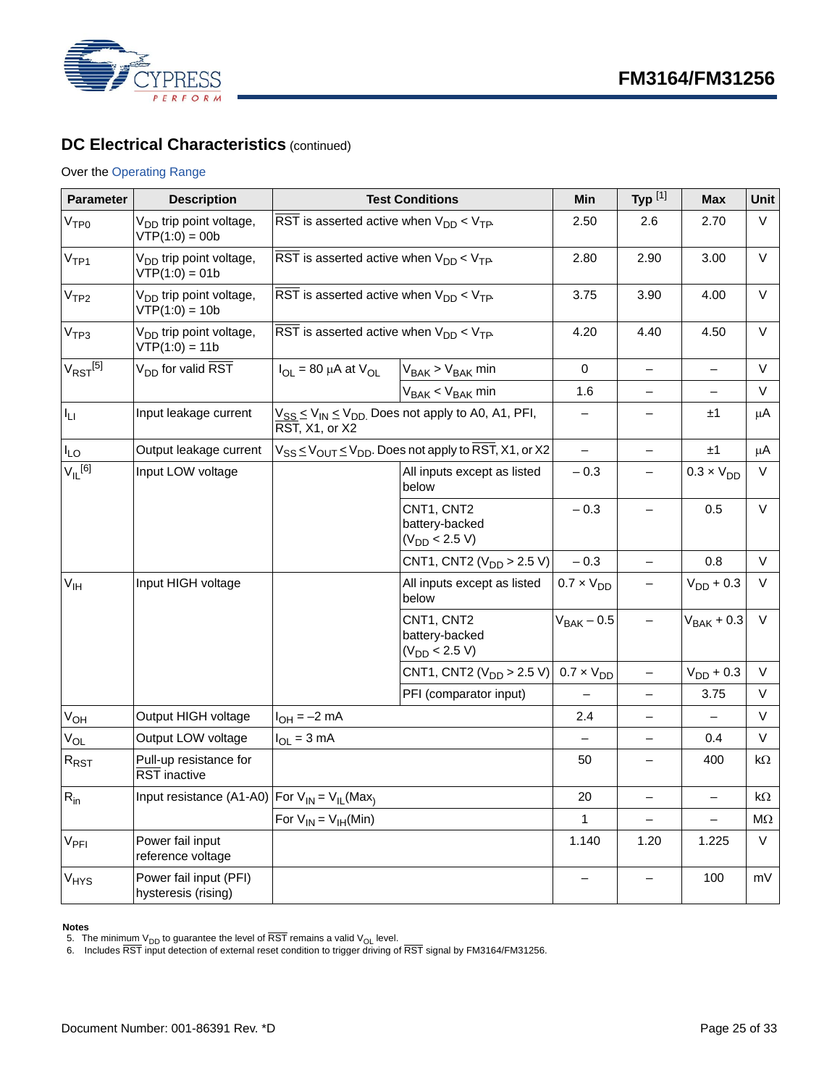

## **DC Electrical Characteristics** (continued)

#### Over the Operating Range

| <b>Parameter</b>        | <b>Description</b>                                      |                                                                                                 | <b>Test Conditions</b>                                                    | <b>Min</b>          | Typ $^{[1]}$             | <b>Max</b>               | Unit      |
|-------------------------|---------------------------------------------------------|-------------------------------------------------------------------------------------------------|---------------------------------------------------------------------------|---------------------|--------------------------|--------------------------|-----------|
| V <sub>TP0</sub>        | V <sub>DD</sub> trip point voltage,<br>$VTP(1:0) = 00b$ | $\overline{\text{RST}}$ is asserted active when $V_{DD}$ < $V_{TP}$ .                           |                                                                           | 2.50                | 2.6                      | 2.70                     | V         |
| V <sub>TP1</sub>        | V <sub>DD</sub> trip point voltage,<br>$VTP(1:0) = 01b$ | $\overline{\text{RST}}$ is asserted active when $\text{V}_{\text{DD}}$ < $\text{V}_{\text{TP}}$ | 2.80                                                                      | 2.90                | 3.00                     | V                        |           |
| V <sub>TP2</sub>        | V <sub>DD</sub> trip point voltage,<br>$VTP(1:0) = 10b$ | $\overline{\text{RST}}$ is asserted active when $V_{\text{DD}} < V_{\text{TP}}$ .               |                                                                           | 3.75                | 3.90                     | 4.00                     | V         |
| V <sub>TP3</sub>        | V <sub>DD</sub> trip point voltage,<br>$VTP(1:0) = 11b$ | $\overline{\text{RST}}$ is asserted active when $\text{V}_{\text{DD}}$ < $\text{V}_{\text{TP}}$ |                                                                           | 4.20                | 4.40                     | 4.50                     | $\vee$    |
| $V_{RST}$ [5]           | $V_{DD}$ for valid RST                                  | $I_{OL}$ = 80 µA at $V_{OL}$<br>$V_{BAK}$ > $V_{BAK}$ min                                       |                                                                           | $\mathbf 0$         | $\overline{\phantom{0}}$ | $\overline{\phantom{0}}$ | $\vee$    |
|                         |                                                         |                                                                                                 | $V_{BAK}$ < $V_{BAK}$ min                                                 | 1.6                 |                          |                          | V         |
| $I_{LI}$                | Input leakage current                                   | $\overline{\text{RST}}$ , X1, or X2                                                             | $V_{SS}$ $\leq$ $V_{IN}$ $\leq$ $V_{DD}$ . Does not apply to A0, A1, PFI, | $\qquad \qquad -$   | —                        | ±1                       | μA        |
| $I_{LO}$                | Output leakage current                                  |                                                                                                 | $V_{SS} \leq V_{OUT} \leq V_{DD}$ . Does not apply to RST, X1, or X2      | $\qquad \qquad -$   | $\overline{\phantom{a}}$ | ±1                       | μA        |
| $V_{IL}$ <sup>[6]</sup> | Input LOW voltage                                       |                                                                                                 | All inputs except as listed<br>below                                      | $-0.3$              | —                        | $0.3 \times V_{DD}$      | V         |
|                         |                                                         |                                                                                                 | CNT1, CNT2<br>battery-backed<br>$(V_{DD}$ < 2.5 V)                        | $-0.3$              | $\qquad \qquad -$        | 0.5                      | V         |
|                         |                                                         |                                                                                                 | CNT1, CNT2 ( $V_{DD}$ > 2.5 V)                                            | $-0.3$              | $\overline{\phantom{0}}$ | 0.8                      | V         |
| $V_{\text{IH}}$         | Input HIGH voltage                                      |                                                                                                 | All inputs except as listed<br>below                                      | $0.7 \times V_{DD}$ | —                        | $V_{DD}$ + 0.3           | V         |
|                         |                                                         |                                                                                                 | CNT1, CNT2<br>battery-backed<br>$(V_{DD}$ < 2.5 V)                        | $V_{BAK}$ – 0.5     |                          | $V_{BAK} + 0.3$          | V         |
|                         |                                                         |                                                                                                 | CNT1, CNT2 ( $V_{DD}$ > 2.5 V)                                            | $0.7 \times V_{DD}$ | $\overline{\phantom{m}}$ | $V_{DD}$ + 0.3           | V         |
|                         |                                                         |                                                                                                 | PFI (comparator input)                                                    |                     | $\overline{\phantom{0}}$ | 3.75                     | V         |
| $V_{OH}$                | Output HIGH voltage                                     | $I_{OH} = -2$ mA                                                                                |                                                                           | 2.4                 | $\overline{\phantom{0}}$ |                          | V         |
| $V_{OL}$                | Output LOW voltage                                      | $I_{OL} = 3$ mA                                                                                 |                                                                           |                     | $\overline{\phantom{m}}$ | 0.4                      | $\vee$    |
| $R_{\mathsf{RST}}$      | Pull-up resistance for<br><b>RST</b> inactive           |                                                                                                 |                                                                           | 50                  | $\overline{\phantom{0}}$ | 400                      | kΩ        |
| $R_{in}$                | Input resistance (A1-A0)   For $V_{IN} = V_{IL}$ (Max)  |                                                                                                 |                                                                           | 20                  | $\qquad \qquad -$        | $\qquad \qquad -$        | $k\Omega$ |
|                         |                                                         | For $V_{IN} = V_{IH}(Min)$                                                                      |                                                                           | $\mathbf{1}$        |                          |                          | $M\Omega$ |
| V <sub>PFI</sub>        | Power fail input<br>reference voltage                   |                                                                                                 |                                                                           | 1.140               | 1.20                     | 1.225                    | V         |
| V <sub>HYS</sub>        | Power fail input (PFI)<br>hysteresis (rising)           |                                                                                                 |                                                                           |                     |                          | 100                      | mV        |

#### **Notes**

<span id="page-24-0"></span>

<span id="page-24-1"></span>5. The minim<u>um V<sub>DD</sub> to g</u>uarantee the level of RST remains a valid V<sub>OL</sub> level.<br>6. Includes RST input detection of external reset condition to trigger driving of RST signal by FM3164/FM31256.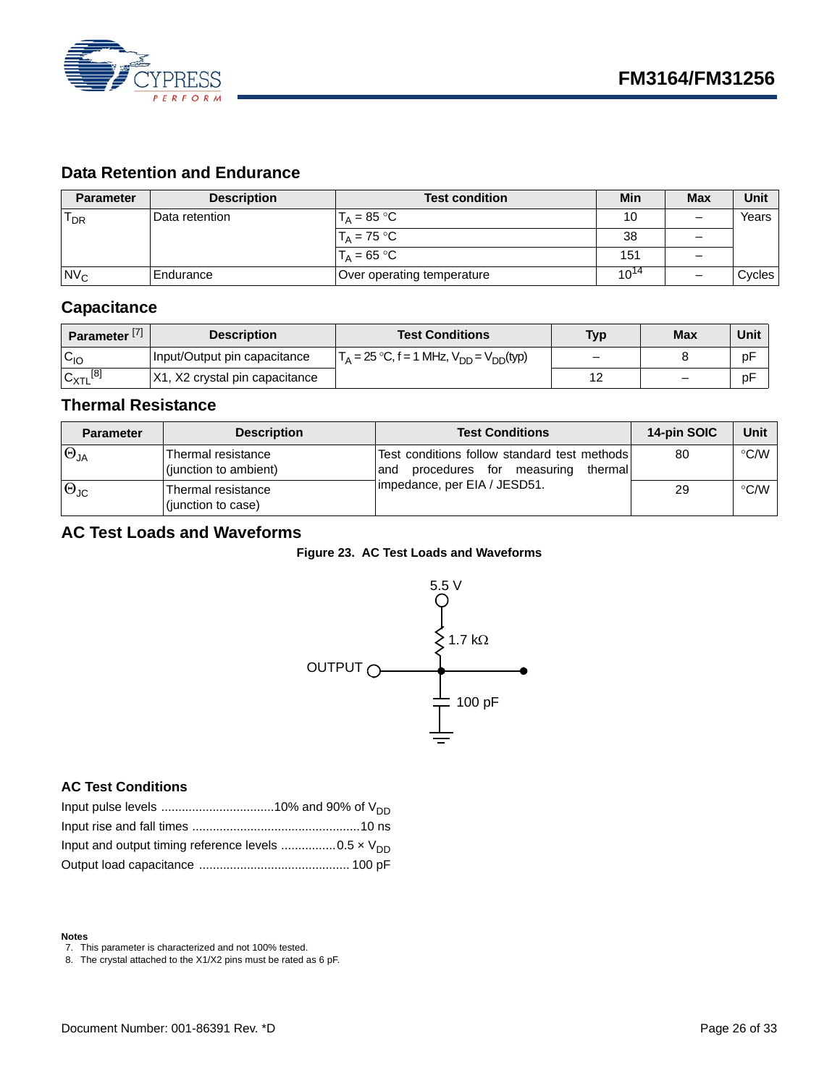

## <span id="page-25-0"></span>**Data Retention and Endurance**

| <b>Parameter</b> | <b>Description</b> | <b>Test condition</b>          | Min       | <b>Max</b> | Unit   |
|------------------|--------------------|--------------------------------|-----------|------------|--------|
| $T_{DR}$         | Data retention     | $T_A = 85 °C$                  | 10        |            | Years  |
|                  |                    | $T_A = 75 °C$                  | 38        |            |        |
|                  |                    | $T_{\text{A}} = 65 \text{ °C}$ | 151       |            |        |
| N <sub>C</sub>   | IEndurance         | Over operating temperature     | $10^{14}$ |            | Cycles |

## <span id="page-25-1"></span>**Capacitance**

| Parameter <sup>[7]</sup> | <b>Description</b>                  | <b>Test Conditions</b>                                               | <b>Typ</b> | <b>Max</b>                   | Unit |
|--------------------------|-------------------------------------|----------------------------------------------------------------------|------------|------------------------------|------|
| $C_{10}$                 | Input/Output pin capacitance        | $\Gamma_A = 25 \text{ °C}, f = 1 \text{ MHz}, V_{DD} = V_{DD} (typ)$ |            |                              | рF   |
| [8]<br>$IC_{XTL}$        | X1.<br>, X2 crystal pin capacitance |                                                                      | $\sim$     | $\qquad \qquad \blacksquare$ | рF   |

## <span id="page-25-2"></span>**Thermal Resistance**

| <b>Parameter</b>       | <b>Description</b>                          | <b>Test Conditions</b>                                                                      | 14-pin SOIC | Unit               |
|------------------------|---------------------------------------------|---------------------------------------------------------------------------------------------|-------------|--------------------|
| $\Theta_{JA}$          | Thermal resistance<br>(junction to ambient) | Test conditions follow standard test methods<br>procedures for measuring<br>thermal<br>land | 80          | $\degree$ C/W      |
| $ \Theta_{\text{JC}} $ | Thermal resistance<br>(junction to case)    | impedance, per EIA / JESD51.                                                                | 29          | $\rm ^{\circ}$ C/W |

## <span id="page-25-3"></span>**AC Test Loads and Waveforms**





## <span id="page-25-4"></span>**AC Test Conditions**

#### **Notes**

<span id="page-25-6"></span>8. The crystal attached to the X1/X2 pins must be rated as 6 pF.

<span id="page-25-5"></span><sup>7.</sup> This parameter is characterized and not 100% tested.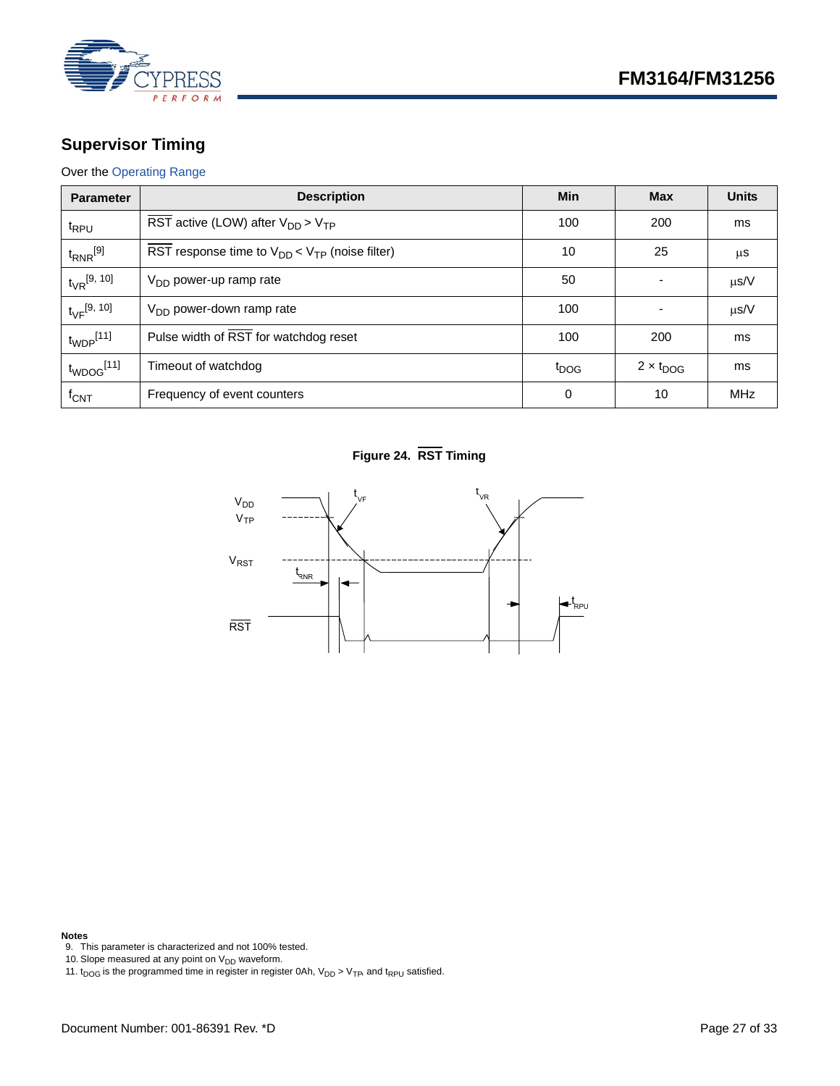

## <span id="page-26-0"></span>**Supervisor Timing**

### Over the [Operating Range](#page-23-1)

| <b>Parameter</b>           | <b>Description</b>                                             | Min              | <b>Max</b>         | <b>Units</b> |
|----------------------------|----------------------------------------------------------------|------------------|--------------------|--------------|
| t <sub>RPU</sub>           | $\overline{\text{RST}}$ active (LOW) after $V_{DD}$ > $V_{TP}$ | 100              | 200                | ms           |
| $t_{RNR}$ [9]              | RST response time to $V_{DD}$ < $V_{TP}$ (noise filter)        | 10               | 25                 | $\mu$ S      |
| $t_{VR}^{[9, 10]}$         | V <sub>DD</sub> power-up ramp rate                             | 50               | ۰                  | $\mu$ s/V    |
| $t_{\rm VF}^{[9, 10]}$     | $V_{DD}$ power-down ramp rate                                  | 100              | ۰                  | $\mu$ s/V    |
| $t_{WDP}$ [11]             | Pulse width of RST for watchdog reset                          | 100              | 200                | ms           |
| $t_{WDOG}$ <sup>[11]</sup> | Timeout of watchdog                                            | t <sub>DOG</sub> | $2 \times t_{DOG}$ | ms           |
| $f_{\text{CNT}}$           | Frequency of event counters                                    | $\Omega$         | 10                 | <b>MHz</b>   |

## **Figure 24. RST Timing**



- <span id="page-26-1"></span>**Notes** 9. This parameter is characterized and not 100% tested.
- <span id="page-26-2"></span>10. Slope measured at any point on  $V_{DD}$  waveform.
- <span id="page-26-3"></span>11.  $t_{\text{DOG}}$  is the programmed time in register in register 0Ah,  $V_{\text{DD}}$  >  $V_{\text{TP}}$  and  $t_{\text{RPU}}$  satisfied.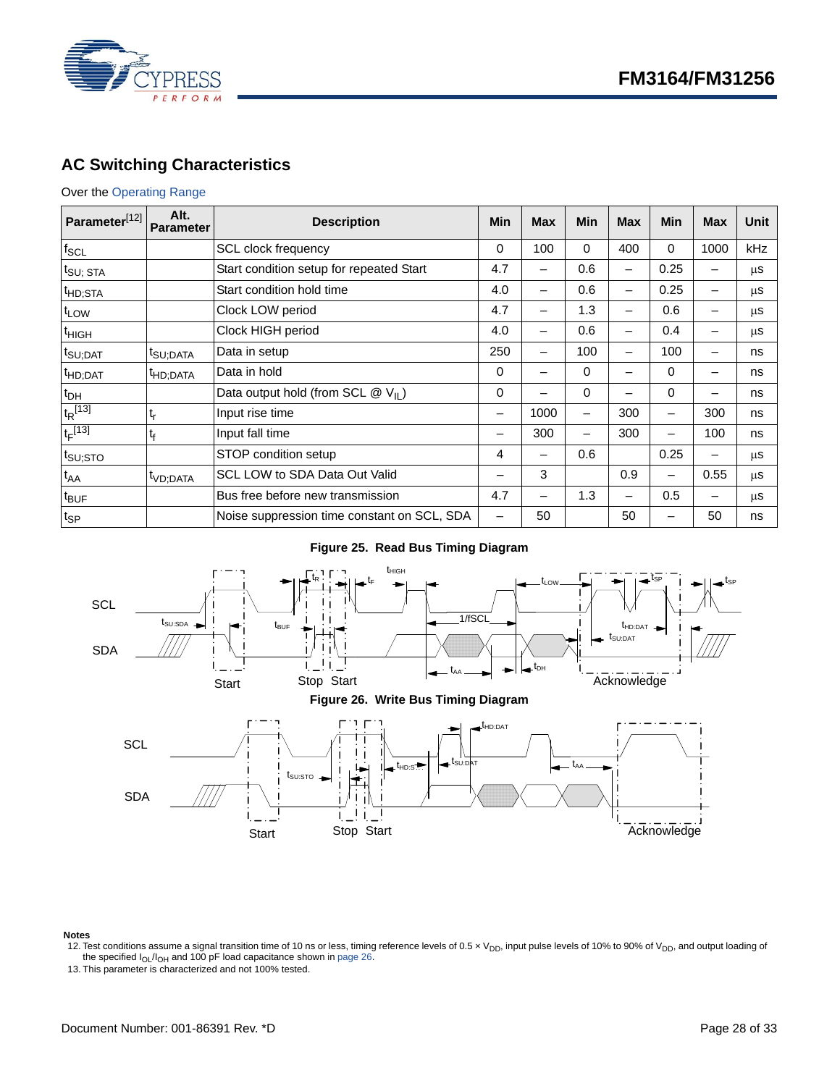

## <span id="page-27-0"></span>**AC Switching Characteristics**

#### Over the [Operating Range](#page-23-1)

| Parameter <sup>[12]</sup>     | Alt.<br><b>Parameter</b> | <b>Description</b>                            | Min                          | <b>Max</b> | Min      | <b>Max</b> | <b>Min</b>               | <b>Max</b>               | Unit |
|-------------------------------|--------------------------|-----------------------------------------------|------------------------------|------------|----------|------------|--------------------------|--------------------------|------|
| $f_{SCL}$                     |                          | SCL clock frequency                           | 0                            | 100        | $\Omega$ | 400        | 0                        | 1000                     | kHz  |
| $t_{\text{SU};\; \text{STA}}$ |                          | Start condition setup for repeated Start      | 4.7                          | -          | 0.6      | -          | 0.25                     | -                        | μS   |
| t <sub>HD;STA</sub>           |                          | Start condition hold time                     | 4.0                          | —          | 0.6      | -          | 0.25                     |                          | μS   |
| t <sub>LOW</sub>              |                          | Clock LOW period                              | 4.7                          | —          | 1.3      |            | 0.6                      |                          | μS   |
| <sup>t</sup> HIGH             |                          | Clock HIGH period                             | 4.0                          | -          | 0.6      |            | 0.4                      |                          | μS   |
| t <sub>SU;DAT</sub>           | t <sub>SU;DATA</sub>     | Data in setup                                 | 250                          | -          | 100      |            | 100                      |                          | ns   |
| <sup>t</sup> HD;DAT           | <sup>t</sup> HD;DATA     | Data in hold                                  | 0                            | -          | $\Omega$ | -          | 0                        | $\overline{\phantom{0}}$ | ns   |
| t <sub>DH</sub>               |                          | Data output hold (from SCL $@V_{\text{II}}$ ) | 0                            |            | $\Omega$ |            | 0                        |                          | ns   |
| $t_R$ <sup>[13]</sup>         | t,                       | Input rise time                               | $\overline{\phantom{0}}$     | 1000       | -        | 300        | $\qquad \qquad$          | 300                      | ns   |
| $t_F$ [13]                    | t <sub>f</sub>           | Input fall time                               |                              | 300        |          | 300        | -                        | 100                      | ns   |
| $t_{\text{SU;STO}}$           |                          | STOP condition setup                          | 4                            | —          | 0.6      |            | 0.25                     | -                        | μS   |
| $t_{AA}$                      | t <sub>VD;DATA</sub>     | SCL LOW to SDA Data Out Valid                 | —                            | 3          |          | 0.9        | $\overline{\phantom{m}}$ | 0.55                     | μS   |
| t <sub>BUF</sub>              |                          | Bus free before new transmission              | 4.7<br>1.3<br>0.5            |            |          |            | μS                       |                          |      |
| $t_{\sf SP}$                  |                          | Noise suppression time constant on SCL, SDA   | $\qquad \qquad \blacksquare$ | 50         |          | 50         |                          | 50                       | ns   |

### **Figure 25. Read Bus Timing Diagram**



<span id="page-27-1"></span>Notes<br>12. Test conditions assume a signal transition time of 10 ns or less, timing reference levels of 0.5 x V<sub>DD</sub>, input pulse levels of 10% to 90% of V<sub>DD</sub>, and output loading of<br>the specified l<sub>OL</sub>/l<sub>OH</sub> and 100 pF loa

<span id="page-27-2"></span>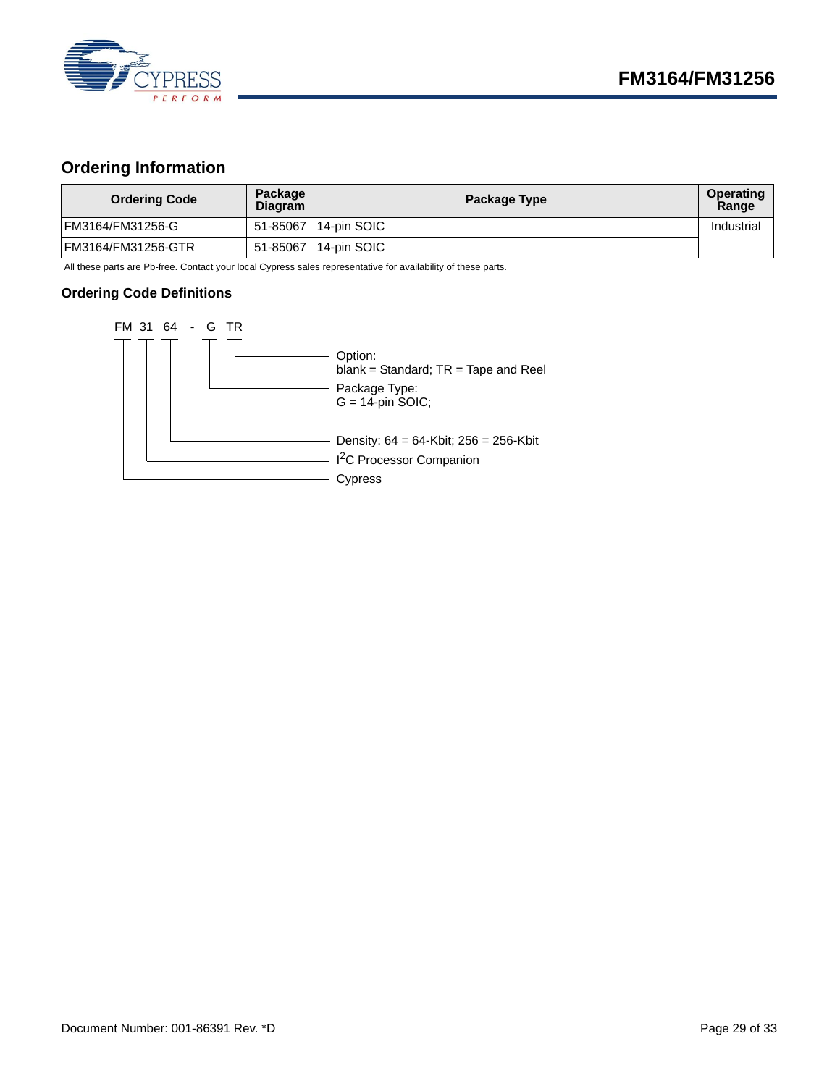

## <span id="page-28-0"></span>**Ordering Information**

| <b>Ordering Code</b> | Package<br><b>Diagram</b> | Package Type          | Operating<br>Range |
|----------------------|---------------------------|-----------------------|--------------------|
| IFM3164/FM31256-G    |                           | 51-85067 114-pin SOIC | Industrial         |
| IFM3164/FM31256-GTR  | 51-85067                  | 14-pin SOIC           |                    |

All these parts are Pb-free. Contact your local Cypress sales representative for availability of these parts.

#### <span id="page-28-1"></span>**Ordering Code Definitions**

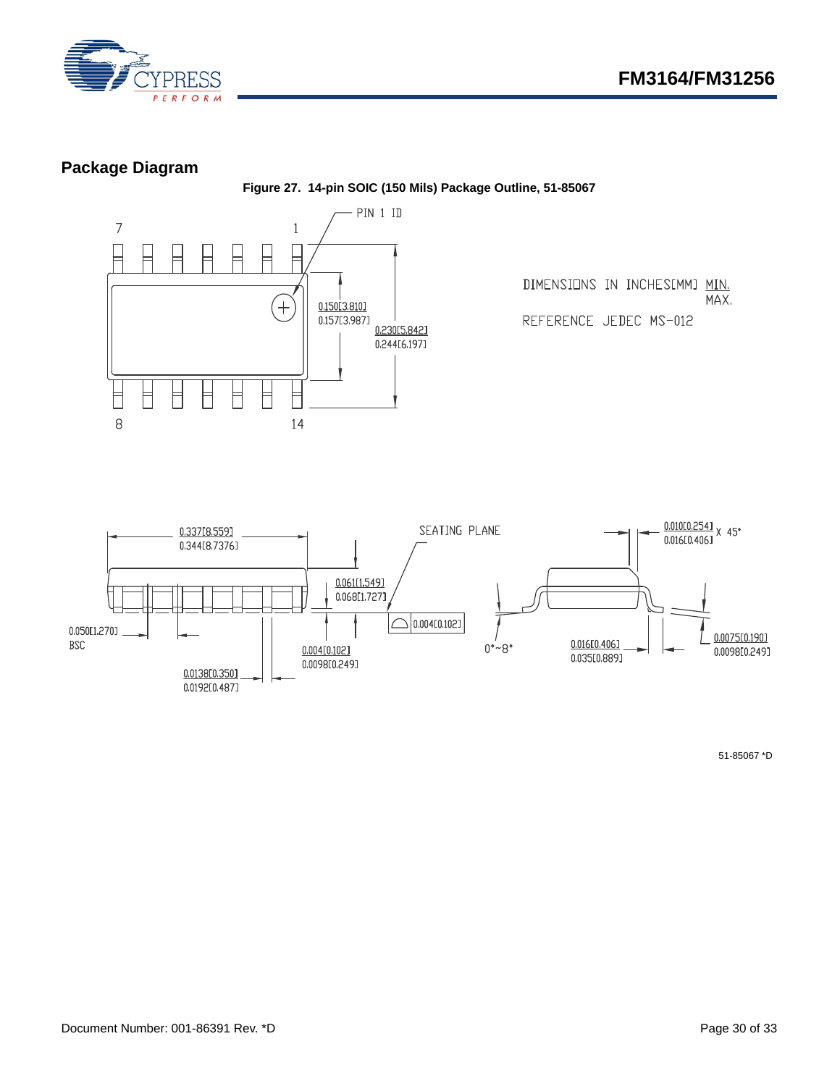

## <span id="page-29-0"></span>**Package Diagram**

**Figure 27. 14-pin SOIC (150 Mils) Package Outline, 51-85067**





51-85067 \*D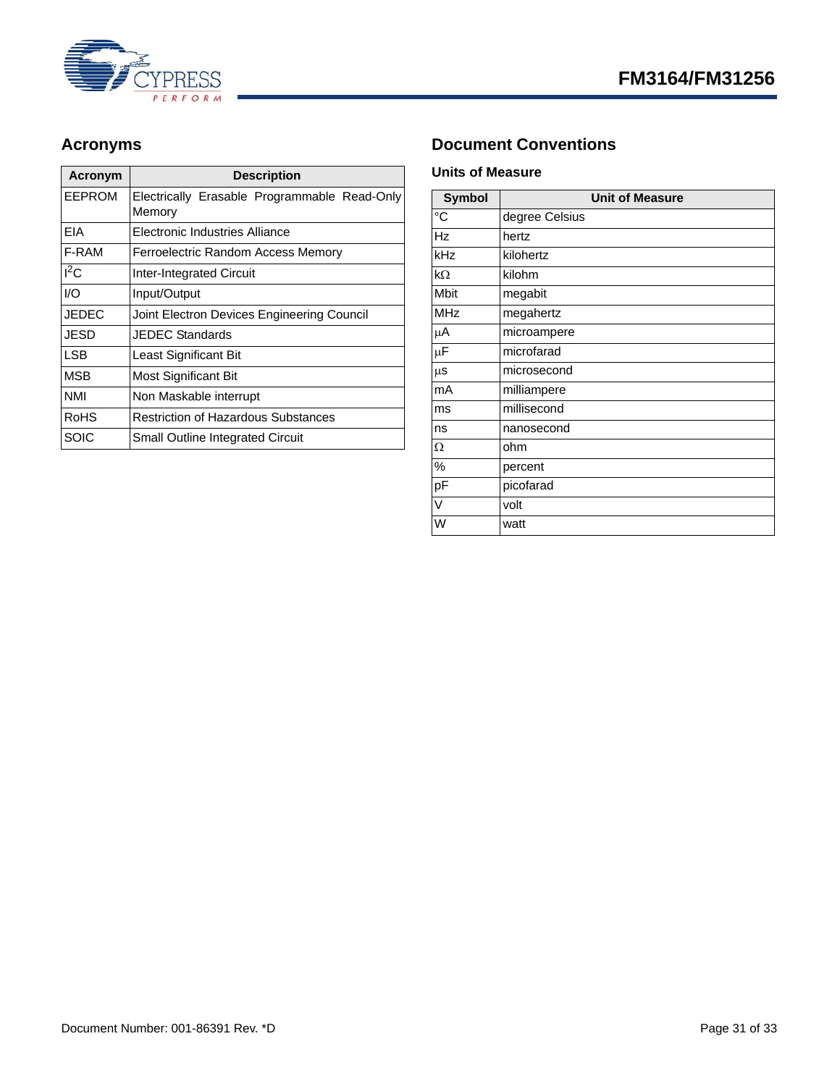



| Acronym    | <b>Description</b>                           |  |
|------------|----------------------------------------------|--|
| EEPROM     | Electrically Erasable Programmable Read-Only |  |
|            | Memory                                       |  |
| EIA        | Electronic Industries Alliance               |  |
| F-RAM      | Ferroelectric Random Access Memory           |  |
| $I^2C$     | <b>Inter-Integrated Circuit</b>              |  |
| 1/O        | Input/Output                                 |  |
| JEDEC      | Joint Electron Devices Engineering Council   |  |
| JESD       | JEDEC Standards                              |  |
| LSB        | Least Significant Bit                        |  |
| MSB        | Most Significant Bit                         |  |
| <b>NMI</b> | Non Maskable interrupt                       |  |
| RoHS       | <b>Restriction of Hazardous Substances</b>   |  |
| SOIC       | Small Outline Integrated Circuit             |  |

## <span id="page-30-0"></span>Acronyms **Document Conventions**

### <span id="page-30-2"></span><span id="page-30-1"></span>**Units of Measure**

| <b>Symbol</b>   | <b>Unit of Measure</b> |  |  |
|-----------------|------------------------|--|--|
| $\rm ^{\circ}C$ | degree Celsius         |  |  |
| <b>Hz</b>       | hertz                  |  |  |
| kHz             | kilohertz              |  |  |
| $k\Omega$       | kilohm                 |  |  |
| <b>Mbit</b>     | megabit                |  |  |
| <b>MHz</b>      | megahertz              |  |  |
| μA              | microampere            |  |  |
| $\mu$ F         | microfarad             |  |  |
| $\mu$ s         | microsecond            |  |  |
| mA              | milliampere            |  |  |
| ms              | millisecond            |  |  |
| ns              | nanosecond             |  |  |
| Ω               | ohm                    |  |  |
| %               | percent                |  |  |
| pF              | picofarad              |  |  |
| V               | volt                   |  |  |
| W               | watt                   |  |  |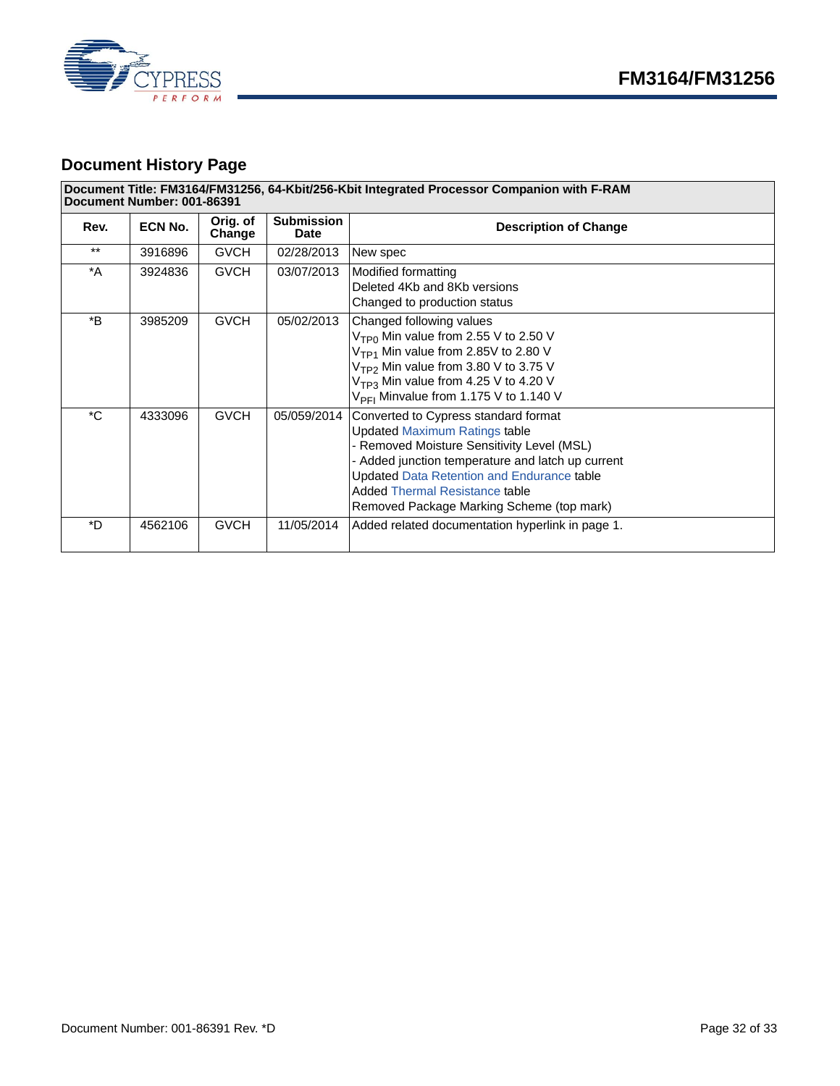



## <span id="page-31-0"></span>**Document History Page**

#### **Document Title: FM3164/FM31256, 64-Kbit/256-Kbit Integrated Processor Companion with F-RAM Document Number: 001-86391**

| Rev.         | ECN No. | Orig. of<br>Change | <b>Submission</b><br><b>Date</b> | <b>Description of Change</b>                                                                                                                                                                                                                                                                                               |
|--------------|---------|--------------------|----------------------------------|----------------------------------------------------------------------------------------------------------------------------------------------------------------------------------------------------------------------------------------------------------------------------------------------------------------------------|
| $***$        | 3916896 | <b>GVCH</b>        | 02/28/2013                       | New spec                                                                                                                                                                                                                                                                                                                   |
| *A           | 3924836 | <b>GVCH</b>        | 03/07/2013                       | Modified formatting<br>Deleted 4Kb and 8Kb versions<br>Changed to production status                                                                                                                                                                                                                                        |
| *B           | 3985209 | <b>GVCH</b>        | 05/02/2013                       | Changed following values<br>$VTP0$ Min value from 2.55 V to 2.50 V<br>$VTP1$ Min value from 2.85V to 2.80 V<br>$VTP2$ Min value from 3.80 V to 3.75 V<br>$VTP3$ Min value from 4.25 V to 4.20 V<br>$V_{\text{PFI}}$ Minvalue from 1.175 V to 1.140 V                                                                       |
| $^{\star}$ C | 4333096 | <b>GVCH</b>        | 05/059/2014                      | Converted to Cypress standard format<br><b>Updated Maximum Ratings table</b><br>- Removed Moisture Sensitivity Level (MSL)<br>- Added junction temperature and latch up current<br><b>Updated Data Retention and Endurance table</b><br><b>Added Thermal Resistance table</b><br>Removed Package Marking Scheme (top mark) |
| $*$          | 4562106 | <b>GVCH</b>        | 11/05/2014                       | Added related documentation hyperlink in page 1.                                                                                                                                                                                                                                                                           |